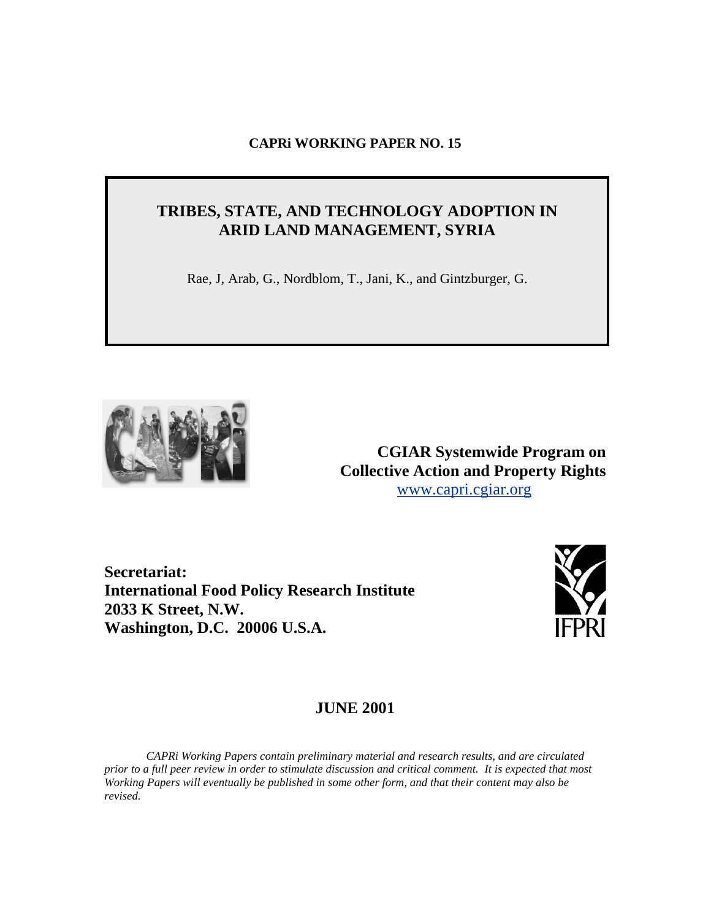## **CAPRi WORKING PAPER NO. 15**

# **TRIBES, STATE, AND TECHNOLOGY ADOPTION IN ARID LAND MANAGEMENT, SYRIA**

Rae, J, Arab, G., Nordblom, T., Jani, K., and Gintzburger, G.



**CGIAR Systemwide Program on Collective Action and Property Rights**  [www.capri.cgiar.org](http://www.capri.cgiar.org)

**Secretariat: International Food Policy Research Institute 2033 K Street, N.W. Washington, D.C. 20006 U.S.A.**



# **JUNE 2001**

*CAPRi Working Papers contain preliminary material and research results, and are circulated prior to a full peer review in order to stimulate discussion and critical comment. It is expected that most Working Papers will eventually be published in some other form, and that their content may also be revised.*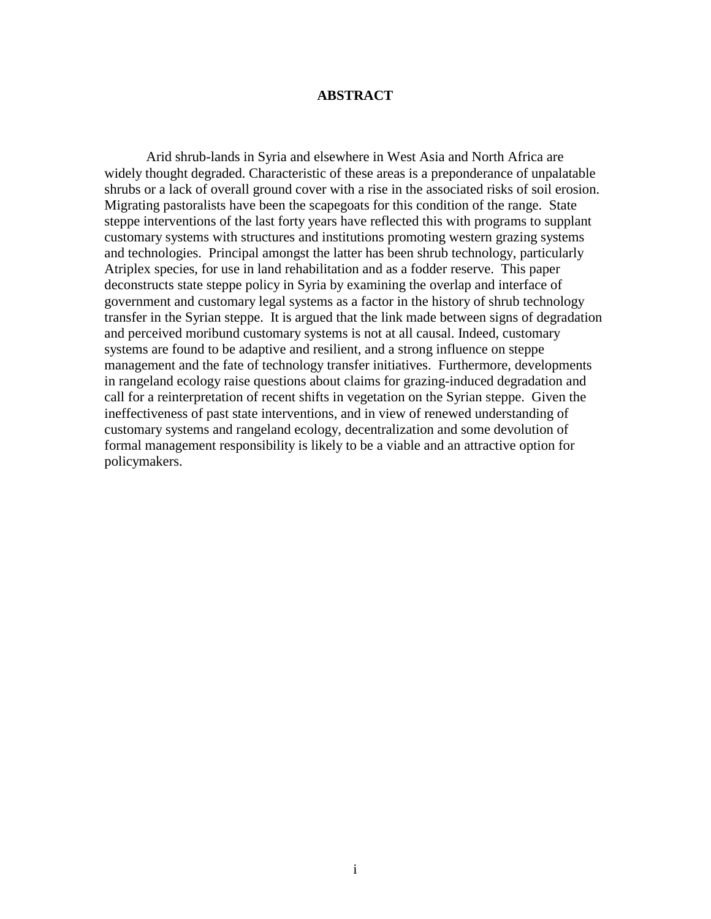#### **ABSTRACT**

Arid shrub-lands in Syria and elsewhere in West Asia and North Africa are widely thought degraded. Characteristic of these areas is a preponderance of unpalatable shrubs or a lack of overall ground cover with a rise in the associated risks of soil erosion. Migrating pastoralists have been the scapegoats for this condition of the range. State steppe interventions of the last forty years have reflected this with programs to supplant customary systems with structures and institutions promoting western grazing systems and technologies. Principal amongst the latter has been shrub technology, particularly Atriplex species, for use in land rehabilitation and as a fodder reserve. This paper deconstructs state steppe policy in Syria by examining the overlap and interface of government and customary legal systems as a factor in the history of shrub technology transfer in the Syrian steppe. It is argued that the link made between signs of degradation and perceived moribund customary systems is not at all causal. Indeed, customary systems are found to be adaptive and resilient, and a strong influence on steppe management and the fate of technology transfer initiatives. Furthermore, developments in rangeland ecology raise questions about claims for grazing-induced degradation and call for a reinterpretation of recent shifts in vegetation on the Syrian steppe. Given the ineffectiveness of past state interventions, and in view of renewed understanding of customary systems and rangeland ecology, decentralization and some devolution of formal management responsibility is likely to be a viable and an attractive option for policymakers.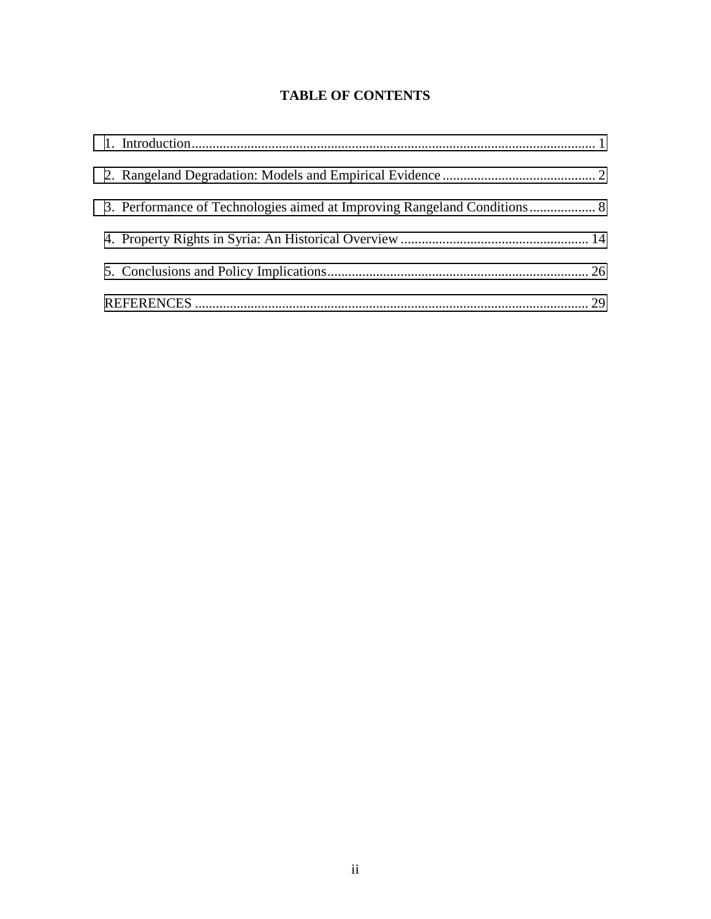# **TABLE OF CONTENTS**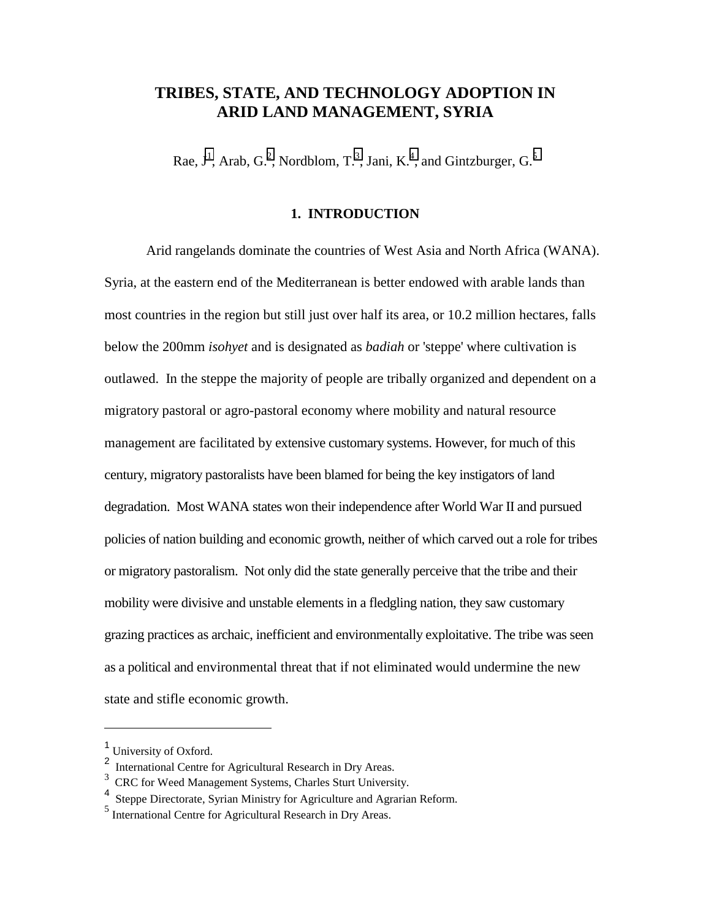# <span id="page-6-0"></span>**TRIBES, STATE, AND TECHNOLOGY ADOPTION IN ARID LAND MANAGEMENT, SYRIA**

Rae,  $J^1$ , Arab, G.<sup>2</sup>, Nordblom, T.<sup>3</sup>, Jani, K.<sup>4</sup>, and Gintzburger, G.<sup>5</sup>

#### **1. INTRODUCTION**

Arid rangelands dominate the countries of West Asia and North Africa (WANA). Syria, at the eastern end of the Mediterranean is better endowed with arable lands than most countries in the region but still just over half its area, or 10.2 million hectares, falls below the 200mm *isohyet* and is designated as *badiah* or 'steppe' where cultivation is outlawed. In the steppe the majority of people are tribally organized and dependent on a migratory pastoral or agro-pastoral economy where mobility and natural resource management are facilitated by extensive customary systems. However, for much of this century, migratory pastoralists have been blamed for being the key instigators of land degradation. Most WANA states won their independence after World War II and pursued policies of nation building and economic growth, neither of which carved out a role for tribes or migratory pastoralism. Not only did the state generally perceive that the tribe and their mobility were divisive and unstable elements in a fledgling nation, they saw customary grazing practices as archaic, inefficient and environmentally exploitative. The tribe was seen as a political and environmental threat that if not eliminated would undermine the new state and stifle economic growth.

 $\overline{a}$ 

<sup>&</sup>lt;sup>1</sup> University of Oxford.

<sup>2</sup> International Centre for Agricultural Research in Dry Areas.

<sup>3</sup> CRC for Weed Management Systems, Charles Sturt University.

<sup>4</sup> Steppe Directorate, Syrian Ministry for Agriculture and Agrarian Reform.

<sup>5</sup> International Centre for Agricultural Research in Dry Areas.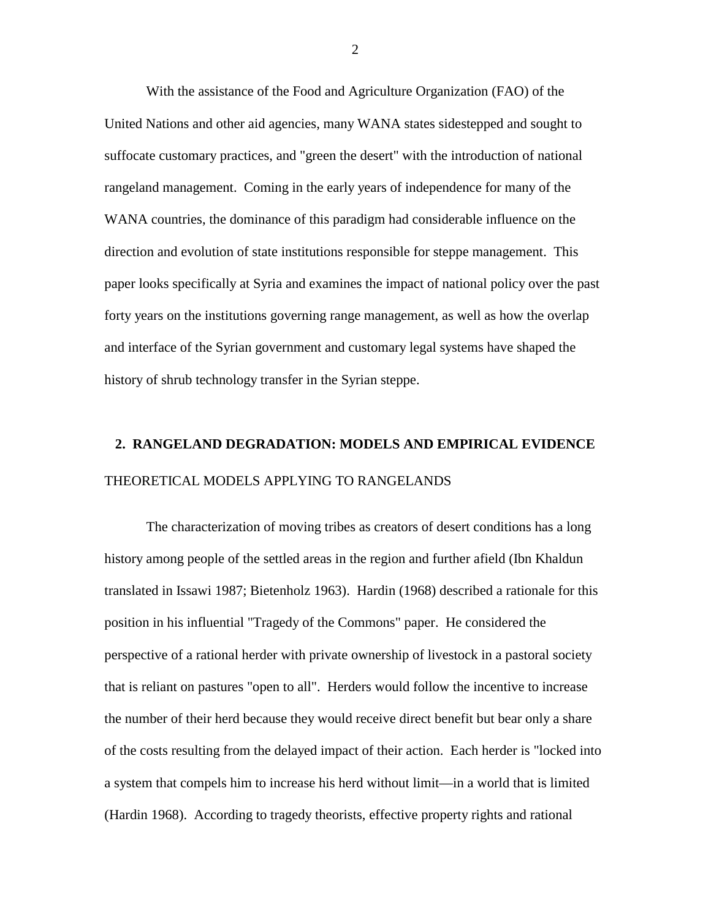<span id="page-7-0"></span>With the assistance of the Food and Agriculture Organization (FAO) of the United Nations and other aid agencies, many WANA states sidestepped and sought to suffocate customary practices, and "green the desert" with the introduction of national rangeland management. Coming in the early years of independence for many of the WANA countries, the dominance of this paradigm had considerable influence on the direction and evolution of state institutions responsible for steppe management. This paper looks specifically at Syria and examines the impact of national policy over the past forty years on the institutions governing range management, as well as how the overlap and interface of the Syrian government and customary legal systems have shaped the history of shrub technology transfer in the Syrian steppe.

# **2. RANGELAND DEGRADATION: MODELS AND EMPIRICAL EVIDENCE**  THEORETICAL MODELS APPLYING TO RANGELANDS

The characterization of moving tribes as creators of desert conditions has a long history among people of the settled areas in the region and further afield (Ibn Khaldun translated in Issawi 1987; Bietenholz 1963). Hardin (1968) described a rationale for this position in his influential "Tragedy of the Commons" paper. He considered the perspective of a rational herder with private ownership of livestock in a pastoral society that is reliant on pastures "open to all". Herders would follow the incentive to increase the number of their herd because they would receive direct benefit but bear only a share of the costs resulting from the delayed impact of their action. Each herder is "locked into a system that compels him to increase his herd without limit—in a world that is limited (Hardin 1968). According to tragedy theorists, effective property rights and rational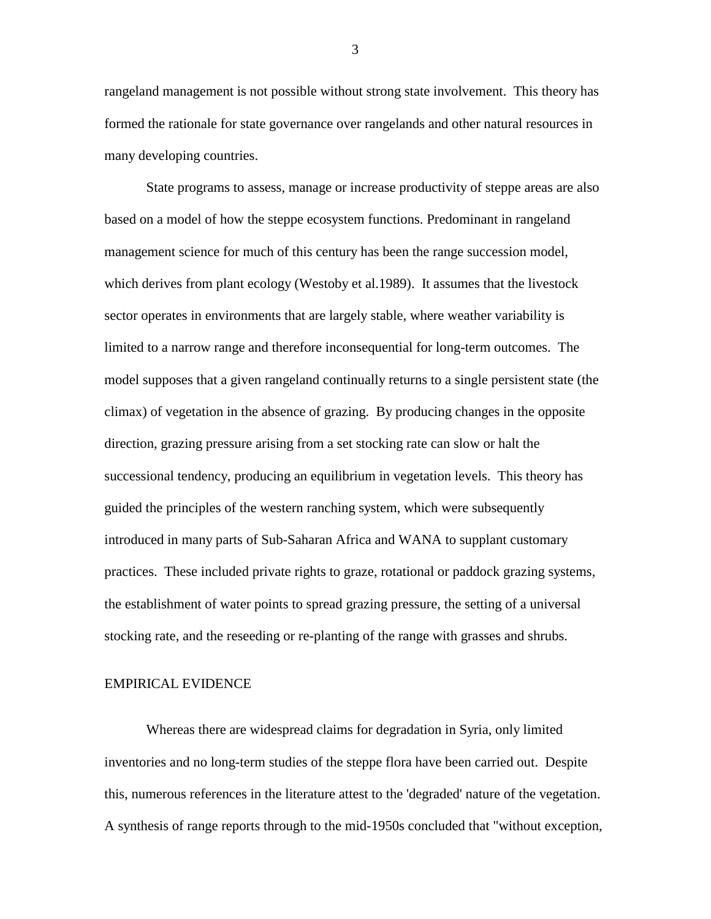rangeland management is not possible without strong state involvement. This theory has formed the rationale for state governance over rangelands and other natural resources in many developing countries.

State programs to assess, manage or increase productivity of steppe areas are also based on a model of how the steppe ecosystem functions. Predominant in rangeland management science for much of this century has been the range succession model, which derives from plant ecology (Westoby et al.1989). It assumes that the livestock sector operates in environments that are largely stable, where weather variability is limited to a narrow range and therefore inconsequential for long-term outcomes. The model supposes that a given rangeland continually returns to a single persistent state (the climax) of vegetation in the absence of grazing. By producing changes in the opposite direction, grazing pressure arising from a set stocking rate can slow or halt the successional tendency, producing an equilibrium in vegetation levels. This theory has guided the principles of the western ranching system, which were subsequently introduced in many parts of Sub-Saharan Africa and WANA to supplant customary practices. These included private rights to graze, rotational or paddock grazing systems, the establishment of water points to spread grazing pressure, the setting of a universal stocking rate, and the reseeding or re-planting of the range with grasses and shrubs.

#### EMPIRICAL EVIDENCE

Whereas there are widespread claims for degradation in Syria, only limited inventories and no long-term studies of the steppe flora have been carried out. Despite this, numerous references in the literature attest to the 'degraded' nature of the vegetation. A synthesis of range reports through to the mid-1950s concluded that "without exception,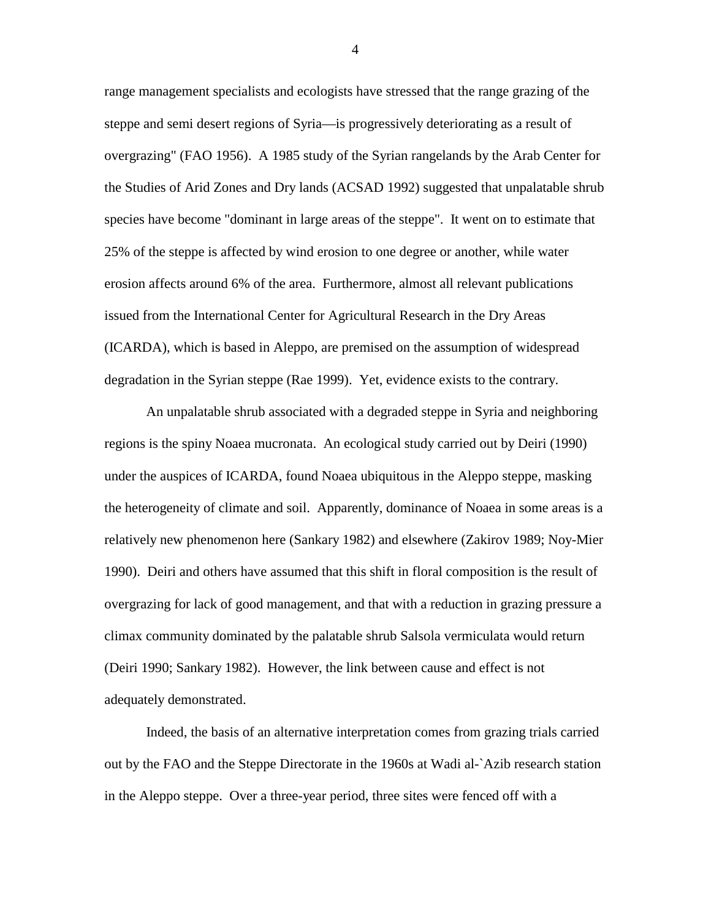range management specialists and ecologists have stressed that the range grazing of the steppe and semi desert regions of Syria—is progressively deteriorating as a result of overgrazing" (FAO 1956). A 1985 study of the Syrian rangelands by the Arab Center for the Studies of Arid Zones and Dry lands (ACSAD 1992) suggested that unpalatable shrub species have become "dominant in large areas of the steppe". It went on to estimate that 25% of the steppe is affected by wind erosion to one degree or another, while water erosion affects around 6% of the area. Furthermore, almost all relevant publications issued from the International Center for Agricultural Research in the Dry Areas (ICARDA), which is based in Aleppo, are premised on the assumption of widespread degradation in the Syrian steppe (Rae 1999). Yet, evidence exists to the contrary.

An unpalatable shrub associated with a degraded steppe in Syria and neighboring regions is the spiny Noaea mucronata. An ecological study carried out by Deiri (1990) under the auspices of ICARDA, found Noaea ubiquitous in the Aleppo steppe, masking the heterogeneity of climate and soil. Apparently, dominance of Noaea in some areas is a relatively new phenomenon here (Sankary 1982) and elsewhere (Zakirov 1989; Noy-Mier 1990). Deiri and others have assumed that this shift in floral composition is the result of overgrazing for lack of good management, and that with a reduction in grazing pressure a climax community dominated by the palatable shrub Salsola vermiculata would return (Deiri 1990; Sankary 1982). However, the link between cause and effect is not adequately demonstrated.

Indeed, the basis of an alternative interpretation comes from grazing trials carried out by the FAO and the Steppe Directorate in the 1960s at Wadi al-`Azib research station in the Aleppo steppe. Over a three-year period, three sites were fenced off with a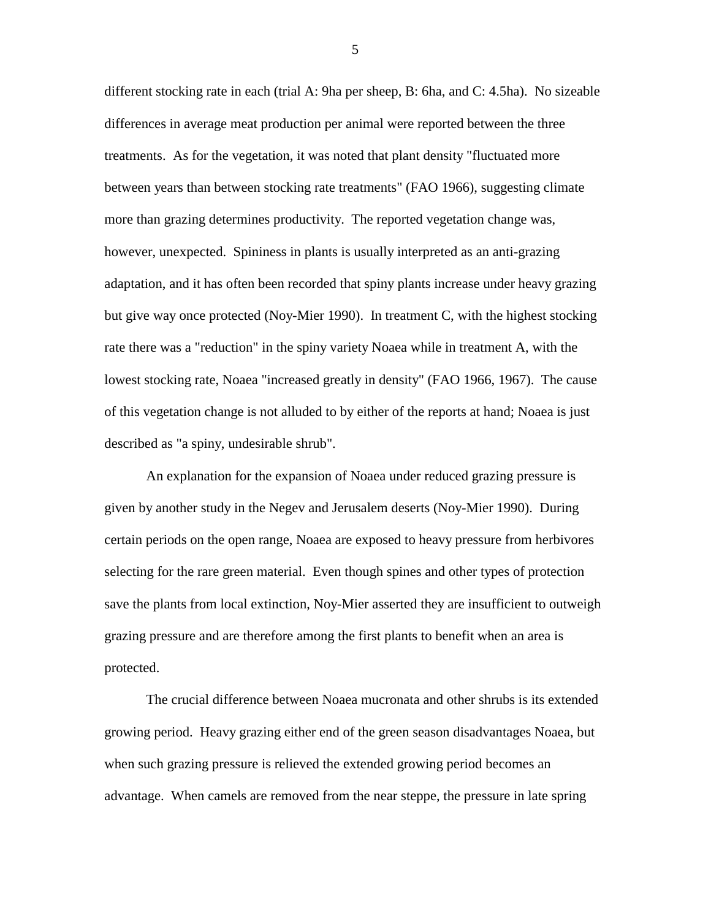different stocking rate in each (trial A: 9ha per sheep, B: 6ha, and C: 4.5ha). No sizeable differences in average meat production per animal were reported between the three treatments. As for the vegetation, it was noted that plant density "fluctuated more between years than between stocking rate treatments" (FAO 1966), suggesting climate more than grazing determines productivity. The reported vegetation change was, however, unexpected. Spininess in plants is usually interpreted as an anti-grazing adaptation, and it has often been recorded that spiny plants increase under heavy grazing but give way once protected (Noy-Mier 1990). In treatment C, with the highest stocking rate there was a "reduction" in the spiny variety Noaea while in treatment A, with the lowest stocking rate, Noaea "increased greatly in density" (FAO 1966, 1967). The cause of this vegetation change is not alluded to by either of the reports at hand; Noaea is just described as "a spiny, undesirable shrub".

An explanation for the expansion of Noaea under reduced grazing pressure is given by another study in the Negev and Jerusalem deserts (Noy-Mier 1990). During certain periods on the open range, Noaea are exposed to heavy pressure from herbivores selecting for the rare green material. Even though spines and other types of protection save the plants from local extinction, Noy-Mier asserted they are insufficient to outweigh grazing pressure and are therefore among the first plants to benefit when an area is protected.

The crucial difference between Noaea mucronata and other shrubs is its extended growing period. Heavy grazing either end of the green season disadvantages Noaea, but when such grazing pressure is relieved the extended growing period becomes an advantage. When camels are removed from the near steppe, the pressure in late spring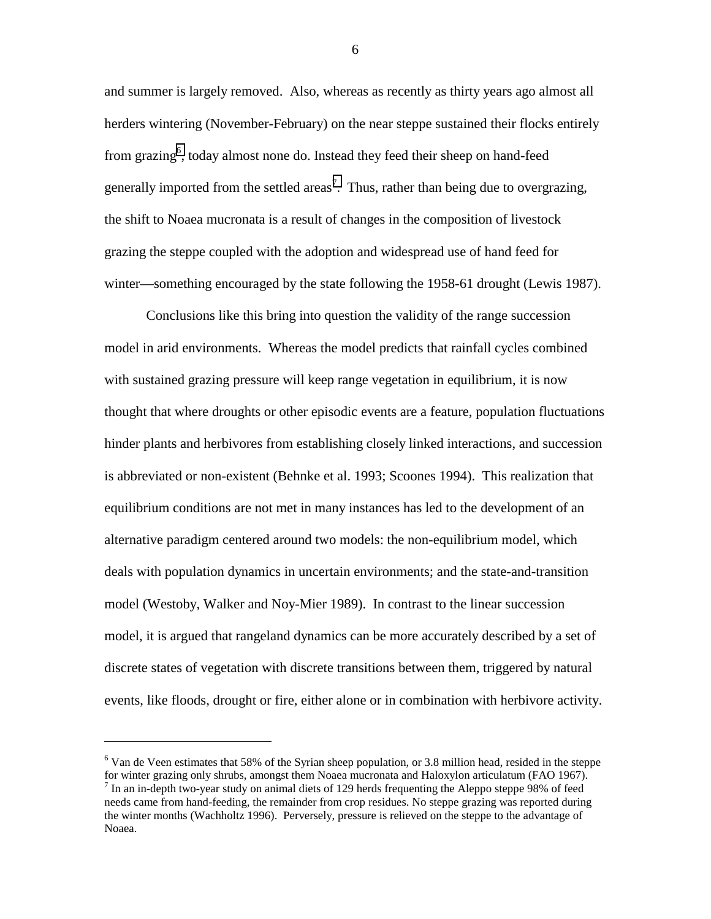and summer is largely removed. Also, whereas as recently as thirty years ago almost all herders wintering (November-February) on the near steppe sustained their flocks entirely from grazing<sup>6</sup>, today almost none do. Instead they feed their sheep on hand-feed generally imported from the settled areas<sup>7</sup>. Thus, rather than being due to overgrazing, the shift to Noaea mucronata is a result of changes in the composition of livestock grazing the steppe coupled with the adoption and widespread use of hand feed for winter—something encouraged by the state following the 1958-61 drought (Lewis 1987).

Conclusions like this bring into question the validity of the range succession model in arid environments. Whereas the model predicts that rainfall cycles combined with sustained grazing pressure will keep range vegetation in equilibrium, it is now thought that where droughts or other episodic events are a feature, population fluctuations hinder plants and herbivores from establishing closely linked interactions, and succession is abbreviated or non-existent (Behnke et al. 1993; Scoones 1994). This realization that equilibrium conditions are not met in many instances has led to the development of an alternative paradigm centered around two models: the non-equilibrium model, which deals with population dynamics in uncertain environments; and the state-and-transition model (Westoby, Walker and Noy-Mier 1989). In contrast to the linear succession model, it is argued that rangeland dynamics can be more accurately described by a set of discrete states of vegetation with discrete transitions between them, triggered by natural events, like floods, drought or fire, either alone or in combination with herbivore activity.

 $\overline{a}$ 

<sup>&</sup>lt;sup>6</sup> Van de Veen estimates that 58% of the Syrian sheep population, or 3.8 million head, resided in the steppe for winter grazing only shrubs, amongst them Noaea mucronata and Haloxylon articulatum (FAO 1967).  $<sup>7</sup>$  In an in-depth two-year study on animal diets of 129 herds frequenting the Aleppo steppe 98% of feed</sup> needs came from hand-feeding, the remainder from crop residues. No steppe grazing was reported during the winter months (Wachholtz 1996). Perversely, pressure is relieved on the steppe to the advantage of Noaea.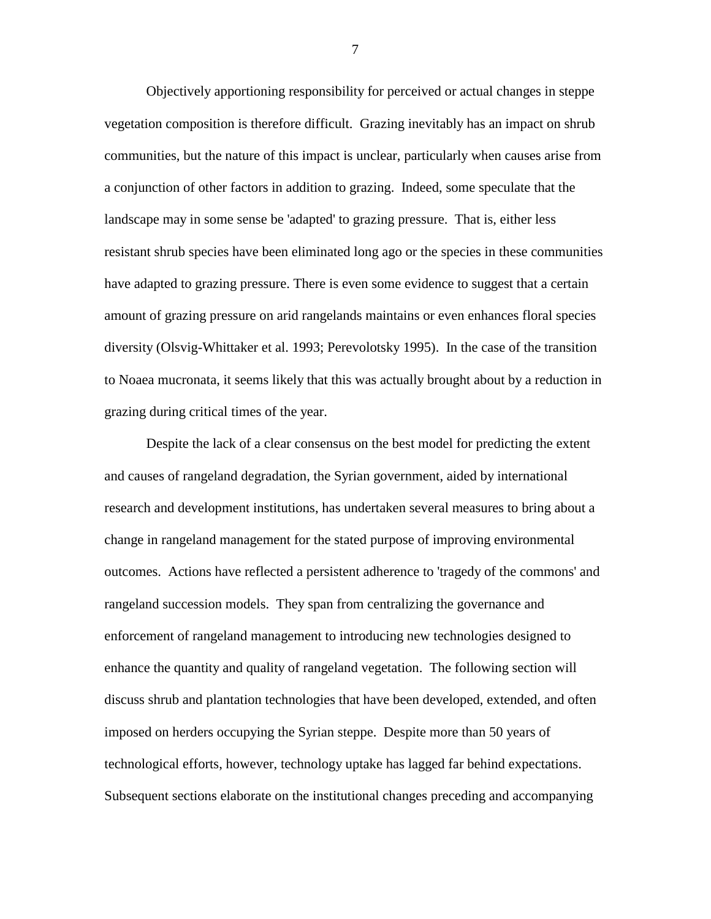Objectively apportioning responsibility for perceived or actual changes in steppe vegetation composition is therefore difficult. Grazing inevitably has an impact on shrub communities, but the nature of this impact is unclear, particularly when causes arise from a conjunction of other factors in addition to grazing. Indeed, some speculate that the landscape may in some sense be 'adapted' to grazing pressure. That is, either less resistant shrub species have been eliminated long ago or the species in these communities have adapted to grazing pressure. There is even some evidence to suggest that a certain amount of grazing pressure on arid rangelands maintains or even enhances floral species diversity (Olsvig-Whittaker et al. 1993; Perevolotsky 1995). In the case of the transition to Noaea mucronata, it seems likely that this was actually brought about by a reduction in grazing during critical times of the year.

Despite the lack of a clear consensus on the best model for predicting the extent and causes of rangeland degradation, the Syrian government, aided by international research and development institutions, has undertaken several measures to bring about a change in rangeland management for the stated purpose of improving environmental outcomes. Actions have reflected a persistent adherence to 'tragedy of the commons' and rangeland succession models. They span from centralizing the governance and enforcement of rangeland management to introducing new technologies designed to enhance the quantity and quality of rangeland vegetation. The following section will discuss shrub and plantation technologies that have been developed, extended, and often imposed on herders occupying the Syrian steppe. Despite more than 50 years of technological efforts, however, technology uptake has lagged far behind expectations. Subsequent sections elaborate on the institutional changes preceding and accompanying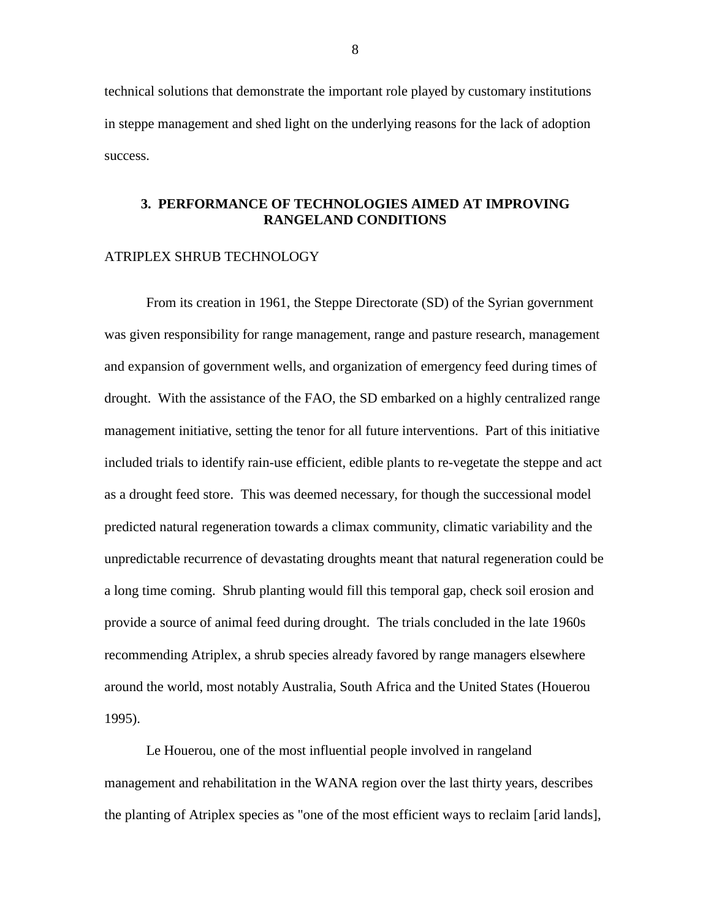<span id="page-13-0"></span>technical solutions that demonstrate the important role played by customary institutions in steppe management and shed light on the underlying reasons for the lack of adoption success.

#### **3. PERFORMANCE OF TECHNOLOGIES AIMED AT IMPROVING RANGELAND CONDITIONS**

#### ATRIPLEX SHRUB TECHNOLOGY

From its creation in 1961, the Steppe Directorate (SD) of the Syrian government was given responsibility for range management, range and pasture research, management and expansion of government wells, and organization of emergency feed during times of drought. With the assistance of the FAO, the SD embarked on a highly centralized range management initiative, setting the tenor for all future interventions. Part of this initiative included trials to identify rain-use efficient, edible plants to re-vegetate the steppe and act as a drought feed store. This was deemed necessary, for though the successional model predicted natural regeneration towards a climax community, climatic variability and the unpredictable recurrence of devastating droughts meant that natural regeneration could be a long time coming. Shrub planting would fill this temporal gap, check soil erosion and provide a source of animal feed during drought. The trials concluded in the late 1960s recommending Atriplex, a shrub species already favored by range managers elsewhere around the world, most notably Australia, South Africa and the United States (Houerou 1995).

Le Houerou, one of the most influential people involved in rangeland management and rehabilitation in the WANA region over the last thirty years, describes the planting of Atriplex species as "one of the most efficient ways to reclaim [arid lands],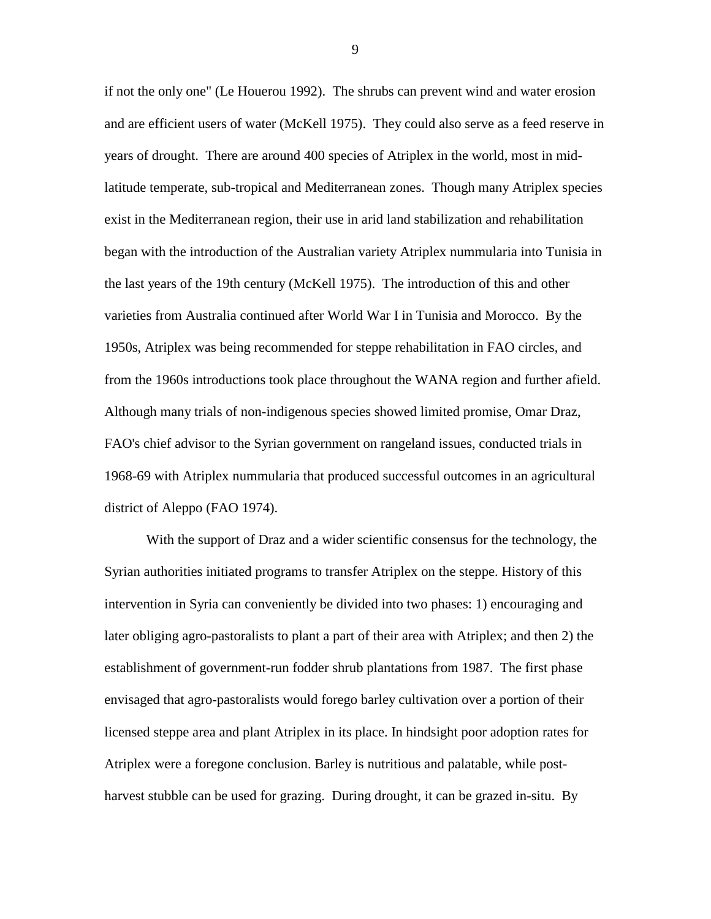if not the only one" (Le Houerou 1992). The shrubs can prevent wind and water erosion and are efficient users of water (McKell 1975). They could also serve as a feed reserve in years of drought. There are around 400 species of Atriplex in the world, most in midlatitude temperate, sub-tropical and Mediterranean zones. Though many Atriplex species exist in the Mediterranean region, their use in arid land stabilization and rehabilitation began with the introduction of the Australian variety Atriplex nummularia into Tunisia in the last years of the 19th century (McKell 1975). The introduction of this and other varieties from Australia continued after World War I in Tunisia and Morocco. By the 1950s, Atriplex was being recommended for steppe rehabilitation in FAO circles, and from the 1960s introductions took place throughout the WANA region and further afield. Although many trials of non-indigenous species showed limited promise, Omar Draz, FAO's chief advisor to the Syrian government on rangeland issues, conducted trials in 1968-69 with Atriplex nummularia that produced successful outcomes in an agricultural district of Aleppo (FAO 1974).

With the support of Draz and a wider scientific consensus for the technology, the Syrian authorities initiated programs to transfer Atriplex on the steppe. History of this intervention in Syria can conveniently be divided into two phases: 1) encouraging and later obliging agro-pastoralists to plant a part of their area with Atriplex; and then 2) the establishment of government-run fodder shrub plantations from 1987. The first phase envisaged that agro-pastoralists would forego barley cultivation over a portion of their licensed steppe area and plant Atriplex in its place. In hindsight poor adoption rates for Atriplex were a foregone conclusion. Barley is nutritious and palatable, while postharvest stubble can be used for grazing. During drought, it can be grazed in-situ. By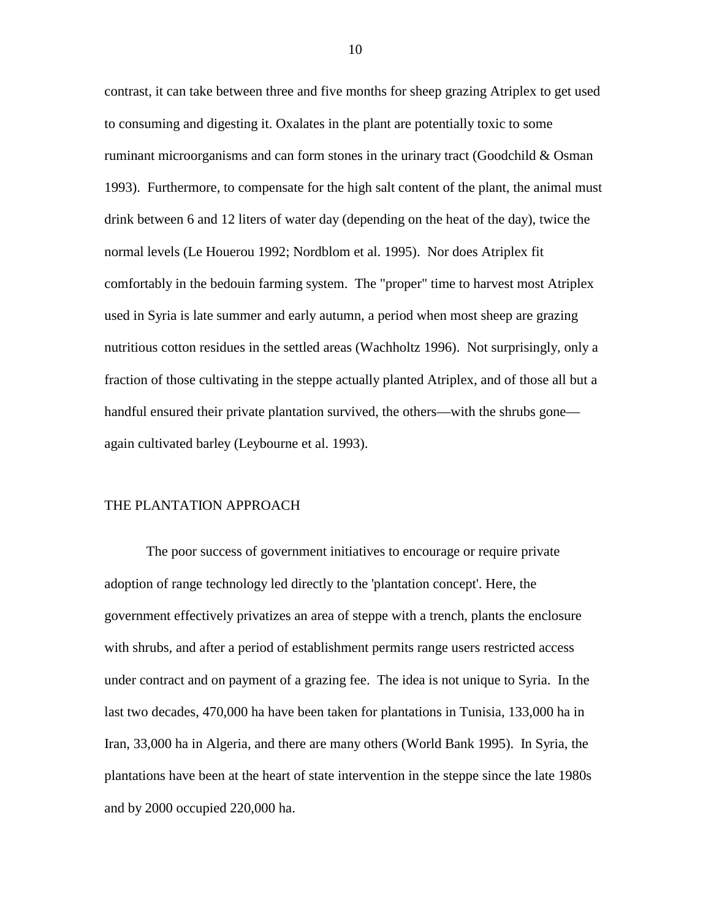contrast, it can take between three and five months for sheep grazing Atriplex to get used to consuming and digesting it. Oxalates in the plant are potentially toxic to some ruminant microorganisms and can form stones in the urinary tract (Goodchild  $\&$  Osman 1993). Furthermore, to compensate for the high salt content of the plant, the animal must drink between 6 and 12 liters of water day (depending on the heat of the day), twice the normal levels (Le Houerou 1992; Nordblom et al. 1995). Nor does Atriplex fit comfortably in the bedouin farming system. The "proper" time to harvest most Atriplex used in Syria is late summer and early autumn, a period when most sheep are grazing nutritious cotton residues in the settled areas (Wachholtz 1996). Not surprisingly, only a fraction of those cultivating in the steppe actually planted Atriplex, and of those all but a handful ensured their private plantation survived, the others—with the shrubs gone again cultivated barley (Leybourne et al. 1993).

#### THE PLANTATION APPROACH

The poor success of government initiatives to encourage or require private adoption of range technology led directly to the 'plantation concept'. Here, the government effectively privatizes an area of steppe with a trench, plants the enclosure with shrubs, and after a period of establishment permits range users restricted access under contract and on payment of a grazing fee. The idea is not unique to Syria. In the last two decades, 470,000 ha have been taken for plantations in Tunisia, 133,000 ha in Iran, 33,000 ha in Algeria, and there are many others (World Bank 1995). In Syria, the plantations have been at the heart of state intervention in the steppe since the late 1980s and by 2000 occupied 220,000 ha.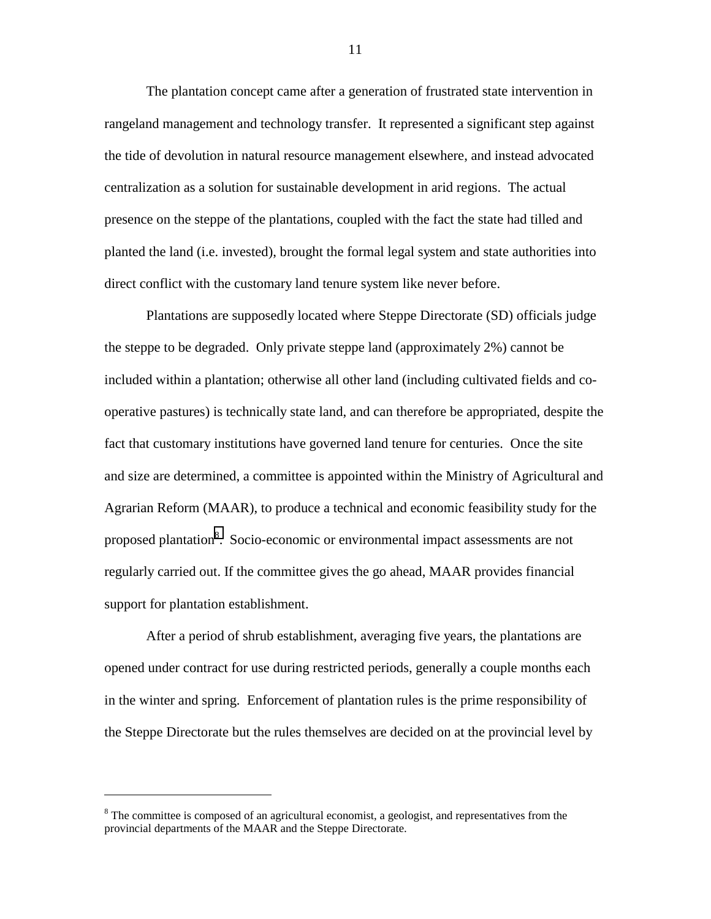The plantation concept came after a generation of frustrated state intervention in rangeland management and technology transfer. It represented a significant step against the tide of devolution in natural resource management elsewhere, and instead advocated centralization as a solution for sustainable development in arid regions. The actual presence on the steppe of the plantations, coupled with the fact the state had tilled and planted the land (i.e. invested), brought the formal legal system and state authorities into direct conflict with the customary land tenure system like never before.

Plantations are supposedly located where Steppe Directorate (SD) officials judge the steppe to be degraded. Only private steppe land (approximately 2%) cannot be included within a plantation; otherwise all other land (including cultivated fields and cooperative pastures) is technically state land, and can therefore be appropriated, despite the fact that customary institutions have governed land tenure for centuries. Once the site and size are determined, a committee is appointed within the Ministry of Agricultural and Agrarian Reform (MAAR), to produce a technical and economic feasibility study for the proposed plantation<sup>8</sup>. Socio-economic or environmental impact assessments are not regularly carried out. If the committee gives the go ahead, MAAR provides financial support for plantation establishment.

After a period of shrub establishment, averaging five years, the plantations are opened under contract for use during restricted periods, generally a couple months each in the winter and spring. Enforcement of plantation rules is the prime responsibility of the Steppe Directorate but the rules themselves are decided on at the provincial level by

 $\overline{a}$ 

 $8$  The committee is composed of an agricultural economist, a geologist, and representatives from the provincial departments of the MAAR and the Steppe Directorate.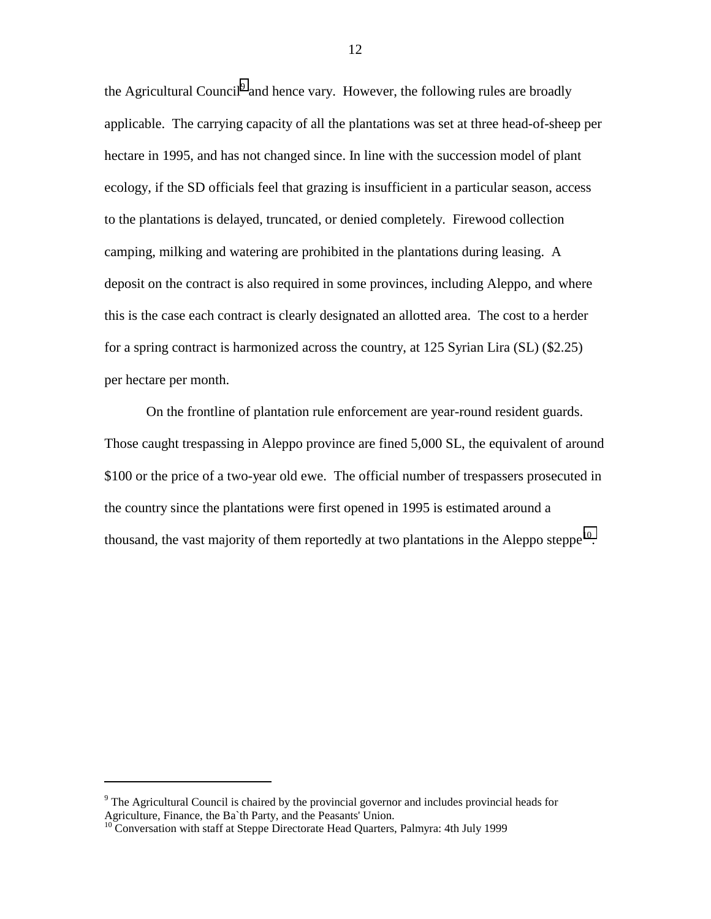the Agricultural Council<sup>9</sup> and hence vary. However, the following rules are broadly applicable. The carrying capacity of all the plantations was set at three head-of-sheep per hectare in 1995, and has not changed since. In line with the succession model of plant ecology, if the SD officials feel that grazing is insufficient in a particular season, access to the plantations is delayed, truncated, or denied completely. Firewood collection camping, milking and watering are prohibited in the plantations during leasing. A deposit on the contract is also required in some provinces, including Aleppo, and where this is the case each contract is clearly designated an allotted area. The cost to a herder for a spring contract is harmonized across the country, at 125 Syrian Lira (SL) (\$2.25) per hectare per month.

On the frontline of plantation rule enforcement are year-round resident guards. Those caught trespassing in Aleppo province are fined 5,000 SL, the equivalent of around \$100 or the price of a two-year old ewe. The official number of trespassers prosecuted in the country since the plantations were first opened in 1995 is estimated around a thousand, the vast majority of them reportedly at two plantations in the Aleppo steppe<sup>10</sup>.

 $\overline{a}$ 

<sup>&</sup>lt;sup>9</sup> The Agricultural Council is chaired by the provincial governor and includes provincial heads for Agriculture, Finance, the Ba`th Party, and the Peasants' Union.

 $10$  Conversation with staff at Steppe Directorate Head Quarters, Palmyra: 4th July 1999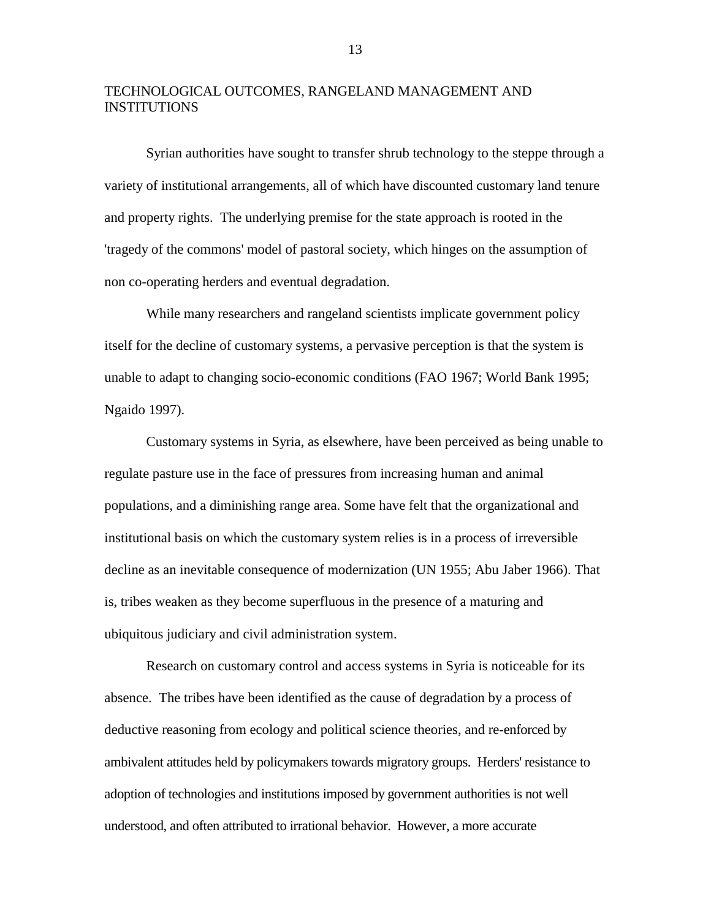## TECHNOLOGICAL OUTCOMES, RANGELAND MANAGEMENT AND INSTITUTIONS

Syrian authorities have sought to transfer shrub technology to the steppe through a variety of institutional arrangements, all of which have discounted customary land tenure and property rights. The underlying premise for the state approach is rooted in the 'tragedy of the commons' model of pastoral society, which hinges on the assumption of non co-operating herders and eventual degradation.

While many researchers and rangeland scientists implicate government policy itself for the decline of customary systems, a pervasive perception is that the system is unable to adapt to changing socio-economic conditions (FAO 1967; World Bank 1995; Ngaido 1997).

Customary systems in Syria, as elsewhere, have been perceived as being unable to regulate pasture use in the face of pressures from increasing human and animal populations, and a diminishing range area. Some have felt that the organizational and institutional basis on which the customary system relies is in a process of irreversible decline as an inevitable consequence of modernization (UN 1955; Abu Jaber 1966). That is, tribes weaken as they become superfluous in the presence of a maturing and ubiquitous judiciary and civil administration system.

Research on customary control and access systems in Syria is noticeable for its absence. The tribes have been identified as the cause of degradation by a process of deductive reasoning from ecology and political science theories, and re-enforced by ambivalent attitudes held by policymakers towards migratory groups. Herders' resistance to adoption of technologies and institutions imposed by government authorities is not well understood, and often attributed to irrational behavior. However, a more accurate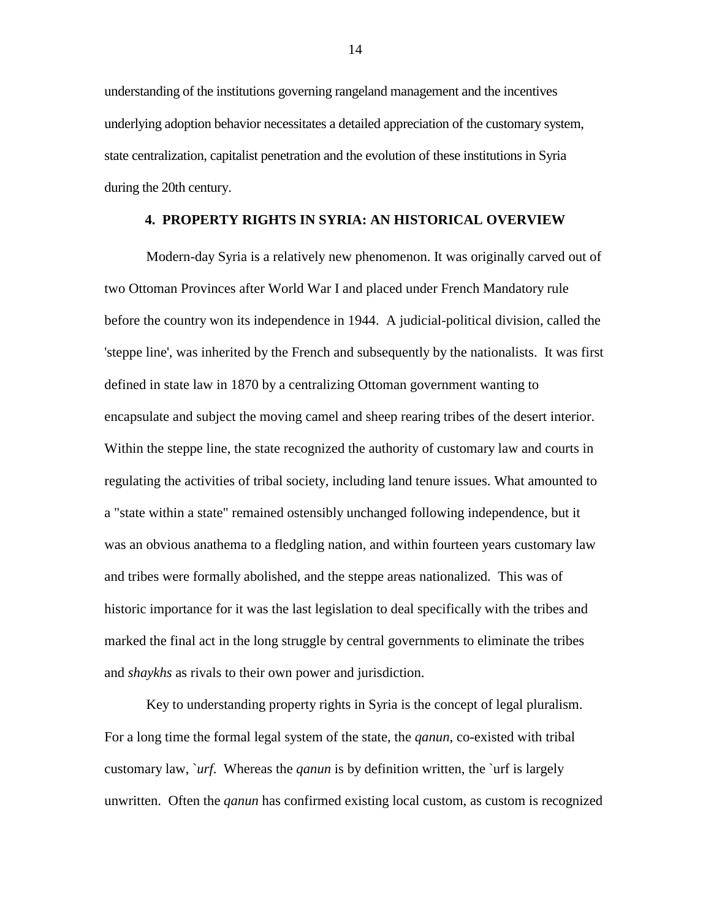<span id="page-19-0"></span>understanding of the institutions governing rangeland management and the incentives underlying adoption behavior necessitates a detailed appreciation of the customary system, state centralization, capitalist penetration and the evolution of these institutions in Syria during the 20th century.

#### **4. PROPERTY RIGHTS IN SYRIA: AN HISTORICAL OVERVIEW**

Modern-day Syria is a relatively new phenomenon. It was originally carved out of two Ottoman Provinces after World War I and placed under French Mandatory rule before the country won its independence in 1944. A judicial-political division, called the 'steppe line', was inherited by the French and subsequently by the nationalists. It was first defined in state law in 1870 by a centralizing Ottoman government wanting to encapsulate and subject the moving camel and sheep rearing tribes of the desert interior. Within the steppe line, the state recognized the authority of customary law and courts in regulating the activities of tribal society, including land tenure issues. What amounted to a "state within a state" remained ostensibly unchanged following independence, but it was an obvious anathema to a fledgling nation, and within fourteen years customary law and tribes were formally abolished, and the steppe areas nationalized. This was of historic importance for it was the last legislation to deal specifically with the tribes and marked the final act in the long struggle by central governments to eliminate the tribes and *shaykhs* as rivals to their own power and jurisdiction.

Key to understanding property rights in Syria is the concept of legal pluralism. For a long time the formal legal system of the state, the *qanun*, co-existed with tribal customary law, `*urf*. Whereas the *qanun* is by definition written, the `urf is largely unwritten. Often the *qanun* has confirmed existing local custom, as custom is recognized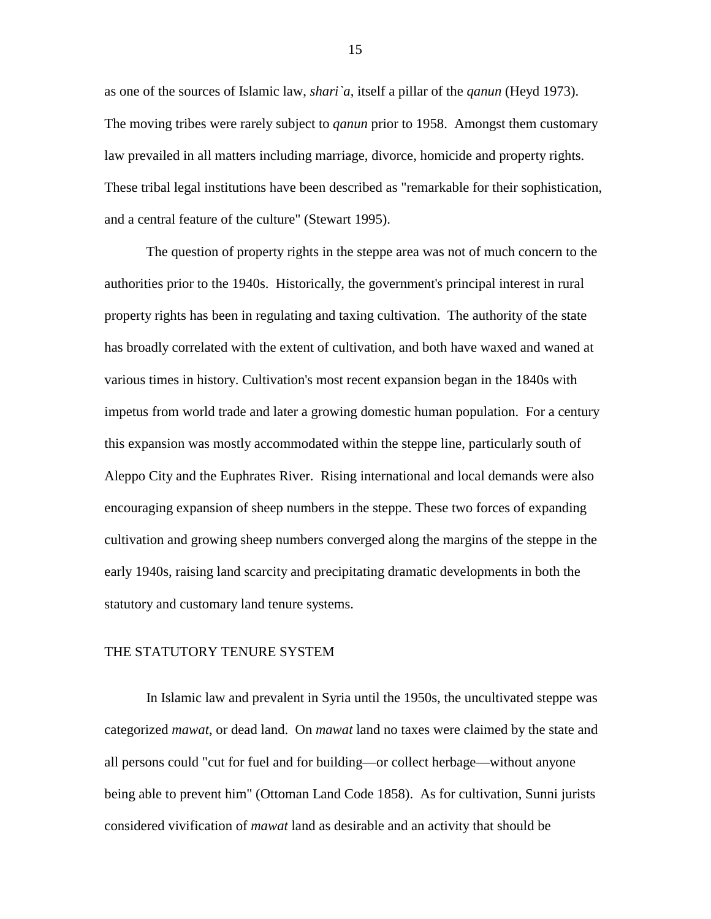as one of the sources of Islamic law, *shari`a*, itself a pillar of the *qanun* (Heyd 1973). The moving tribes were rarely subject to *qanun* prior to 1958. Amongst them customary law prevailed in all matters including marriage, divorce, homicide and property rights. These tribal legal institutions have been described as "remarkable for their sophistication, and a central feature of the culture" (Stewart 1995).

The question of property rights in the steppe area was not of much concern to the authorities prior to the 1940s. Historically, the government's principal interest in rural property rights has been in regulating and taxing cultivation. The authority of the state has broadly correlated with the extent of cultivation, and both have waxed and waned at various times in history. Cultivation's most recent expansion began in the 1840s with impetus from world trade and later a growing domestic human population. For a century this expansion was mostly accommodated within the steppe line, particularly south of Aleppo City and the Euphrates River. Rising international and local demands were also encouraging expansion of sheep numbers in the steppe. These two forces of expanding cultivation and growing sheep numbers converged along the margins of the steppe in the early 1940s, raising land scarcity and precipitating dramatic developments in both the statutory and customary land tenure systems.

#### THE STATUTORY TENURE SYSTEM

In Islamic law and prevalent in Syria until the 1950s, the uncultivated steppe was categorized *mawat*, or dead land. On *mawat* land no taxes were claimed by the state and all persons could "cut for fuel and for building—or collect herbage—without anyone being able to prevent him" (Ottoman Land Code 1858). As for cultivation, Sunni jurists considered vivification of *mawat* land as desirable and an activity that should be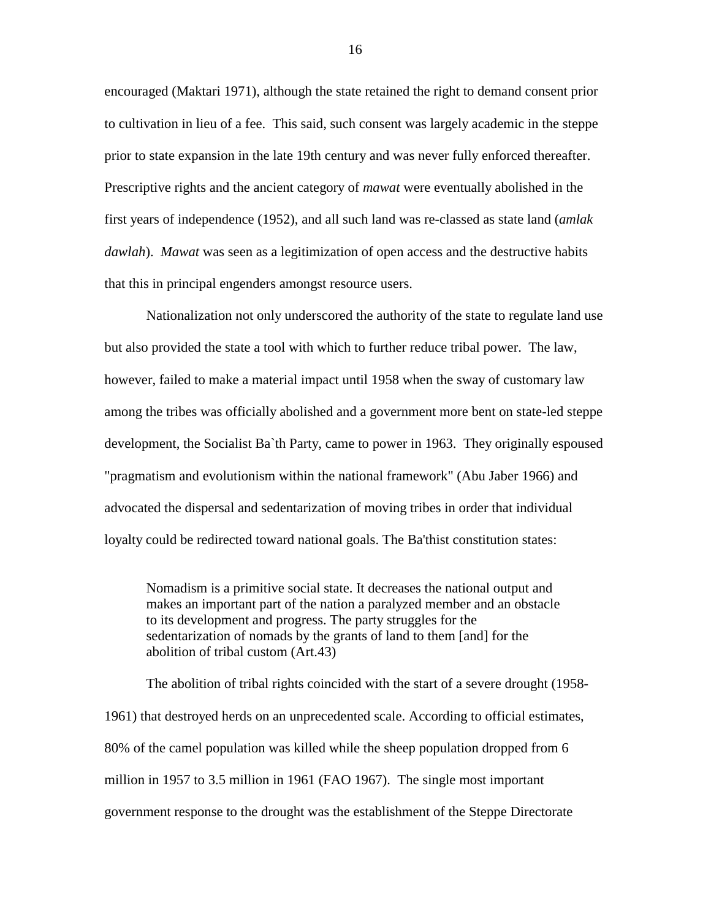encouraged (Maktari 1971), although the state retained the right to demand consent prior to cultivation in lieu of a fee. This said, such consent was largely academic in the steppe prior to state expansion in the late 19th century and was never fully enforced thereafter. Prescriptive rights and the ancient category of *mawat* were eventually abolished in the first years of independence (1952), and all such land was re-classed as state land (*amlak dawlah*). *Mawat* was seen as a legitimization of open access and the destructive habits that this in principal engenders amongst resource users.

Nationalization not only underscored the authority of the state to regulate land use but also provided the state a tool with which to further reduce tribal power. The law, however, failed to make a material impact until 1958 when the sway of customary law among the tribes was officially abolished and a government more bent on state-led steppe development, the Socialist Ba`th Party, came to power in 1963. They originally espoused "pragmatism and evolutionism within the national framework" (Abu Jaber 1966) and advocated the dispersal and sedentarization of moving tribes in order that individual loyalty could be redirected toward national goals. The Ba'thist constitution states:

Nomadism is a primitive social state. It decreases the national output and makes an important part of the nation a paralyzed member and an obstacle to its development and progress. The party struggles for the sedentarization of nomads by the grants of land to them [and] for the abolition of tribal custom (Art.43)

The abolition of tribal rights coincided with the start of a severe drought (1958- 1961) that destroyed herds on an unprecedented scale. According to official estimates, 80% of the camel population was killed while the sheep population dropped from 6 million in 1957 to 3.5 million in 1961 (FAO 1967). The single most important government response to the drought was the establishment of the Steppe Directorate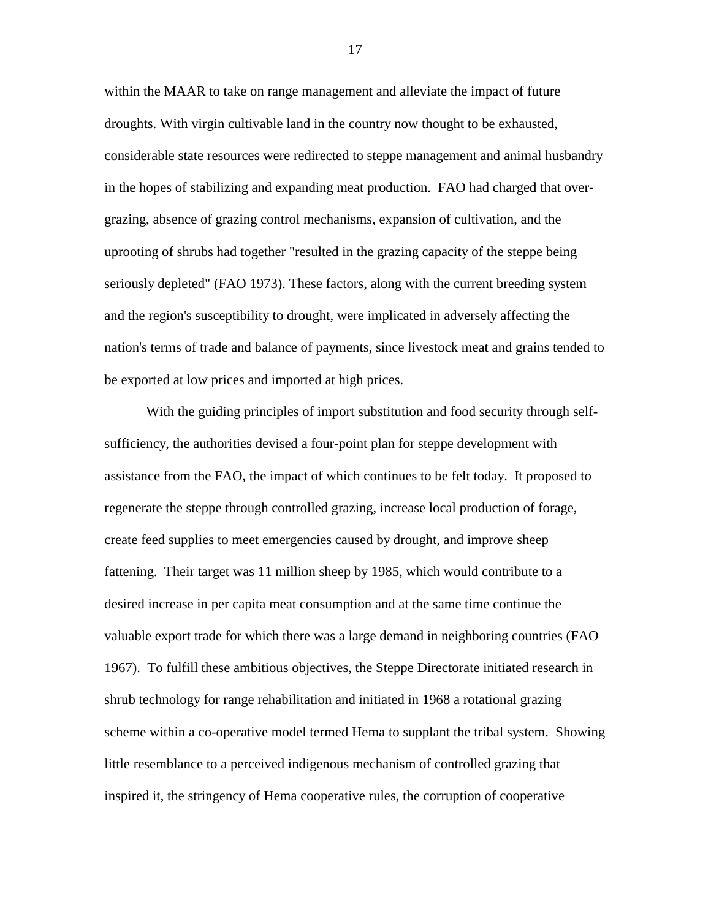within the MAAR to take on range management and alleviate the impact of future droughts. With virgin cultivable land in the country now thought to be exhausted, considerable state resources were redirected to steppe management and animal husbandry in the hopes of stabilizing and expanding meat production. FAO had charged that overgrazing, absence of grazing control mechanisms, expansion of cultivation, and the uprooting of shrubs had together "resulted in the grazing capacity of the steppe being seriously depleted" (FAO 1973). These factors, along with the current breeding system and the region's susceptibility to drought, were implicated in adversely affecting the nation's terms of trade and balance of payments, since livestock meat and grains tended to be exported at low prices and imported at high prices.

With the guiding principles of import substitution and food security through selfsufficiency, the authorities devised a four-point plan for steppe development with assistance from the FAO, the impact of which continues to be felt today. It proposed to regenerate the steppe through controlled grazing, increase local production of forage, create feed supplies to meet emergencies caused by drought, and improve sheep fattening. Their target was 11 million sheep by 1985, which would contribute to a desired increase in per capita meat consumption and at the same time continue the valuable export trade for which there was a large demand in neighboring countries (FAO 1967). To fulfill these ambitious objectives, the Steppe Directorate initiated research in shrub technology for range rehabilitation and initiated in 1968 a rotational grazing scheme within a co-operative model termed Hema to supplant the tribal system. Showing little resemblance to a perceived indigenous mechanism of controlled grazing that inspired it, the stringency of Hema cooperative rules, the corruption of cooperative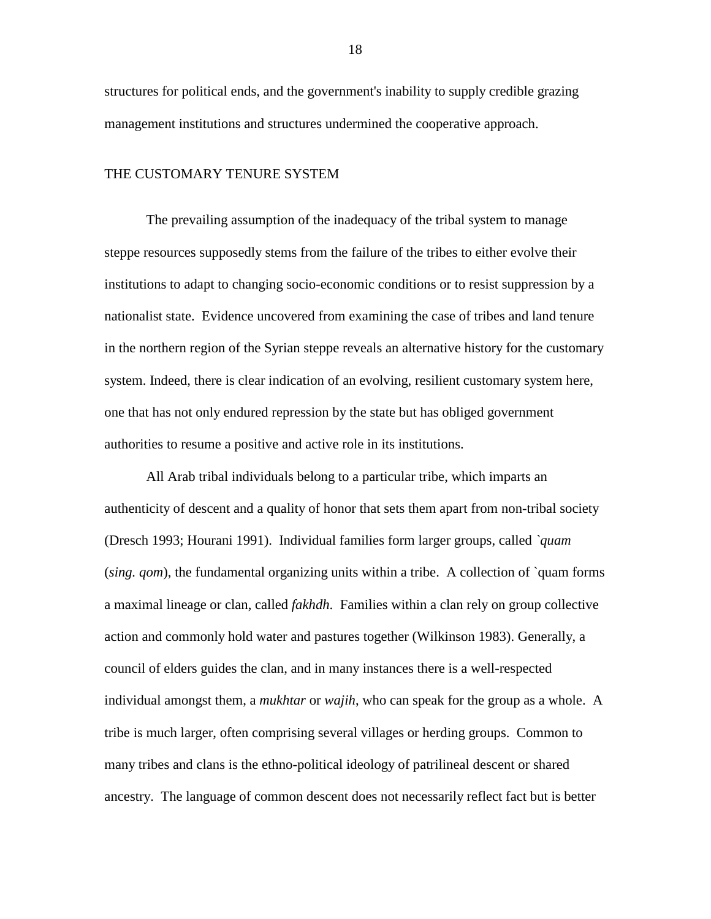structures for political ends, and the government's inability to supply credible grazing management institutions and structures undermined the cooperative approach.

#### THE CUSTOMARY TENURE SYSTEM

The prevailing assumption of the inadequacy of the tribal system to manage steppe resources supposedly stems from the failure of the tribes to either evolve their institutions to adapt to changing socio-economic conditions or to resist suppression by a nationalist state. Evidence uncovered from examining the case of tribes and land tenure in the northern region of the Syrian steppe reveals an alternative history for the customary system. Indeed, there is clear indication of an evolving, resilient customary system here, one that has not only endured repression by the state but has obliged government authorities to resume a positive and active role in its institutions.

All Arab tribal individuals belong to a particular tribe, which imparts an authenticity of descent and a quality of honor that sets them apart from non-tribal society (Dresch 1993; Hourani 1991). Individual families form larger groups, called *`quam* (*sing. qom*), the fundamental organizing units within a tribe. A collection of `quam forms a maximal lineage or clan, called *fakhdh*. Families within a clan rely on group collective action and commonly hold water and pastures together (Wilkinson 1983). Generally, a council of elders guides the clan, and in many instances there is a well-respected individual amongst them, a *mukhtar* or *wajih*, who can speak for the group as a whole. A tribe is much larger, often comprising several villages or herding groups. Common to many tribes and clans is the ethno-political ideology of patrilineal descent or shared ancestry. The language of common descent does not necessarily reflect fact but is better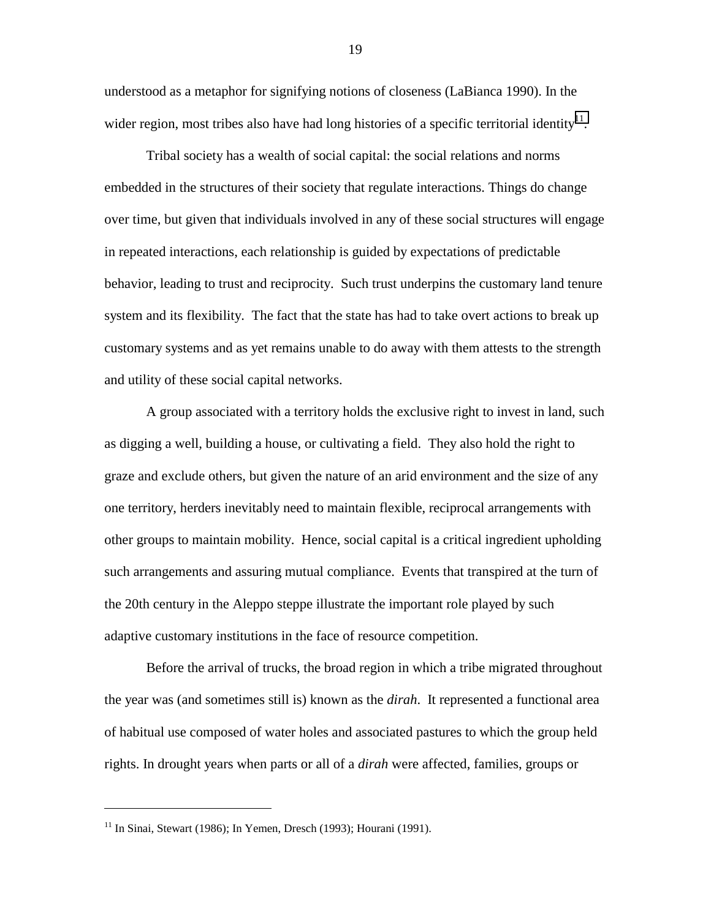understood as a metaphor for signifying notions of closeness (LaBianca 1990). In the wider region, most tribes also have had long histories of a specific territorial identity<sup>11</sup>.

Tribal society has a wealth of social capital: the social relations and norms embedded in the structures of their society that regulate interactions. Things do change over time, but given that individuals involved in any of these social structures will engage in repeated interactions, each relationship is guided by expectations of predictable behavior, leading to trust and reciprocity. Such trust underpins the customary land tenure system and its flexibility. The fact that the state has had to take overt actions to break up customary systems and as yet remains unable to do away with them attests to the strength and utility of these social capital networks.

A group associated with a territory holds the exclusive right to invest in land, such as digging a well, building a house, or cultivating a field. They also hold the right to graze and exclude others, but given the nature of an arid environment and the size of any one territory, herders inevitably need to maintain flexible, reciprocal arrangements with other groups to maintain mobility. Hence, social capital is a critical ingredient upholding such arrangements and assuring mutual compliance. Events that transpired at the turn of the 20th century in the Aleppo steppe illustrate the important role played by such adaptive customary institutions in the face of resource competition.

Before the arrival of trucks, the broad region in which a tribe migrated throughout the year was (and sometimes still is) known as the *dirah*. It represented a functional area of habitual use composed of water holes and associated pastures to which the group held rights. In drought years when parts or all of a *dirah* were affected, families, groups or

 $\overline{a}$ 

 $11$  In Sinai, Stewart (1986); In Yemen, Dresch (1993); Hourani (1991).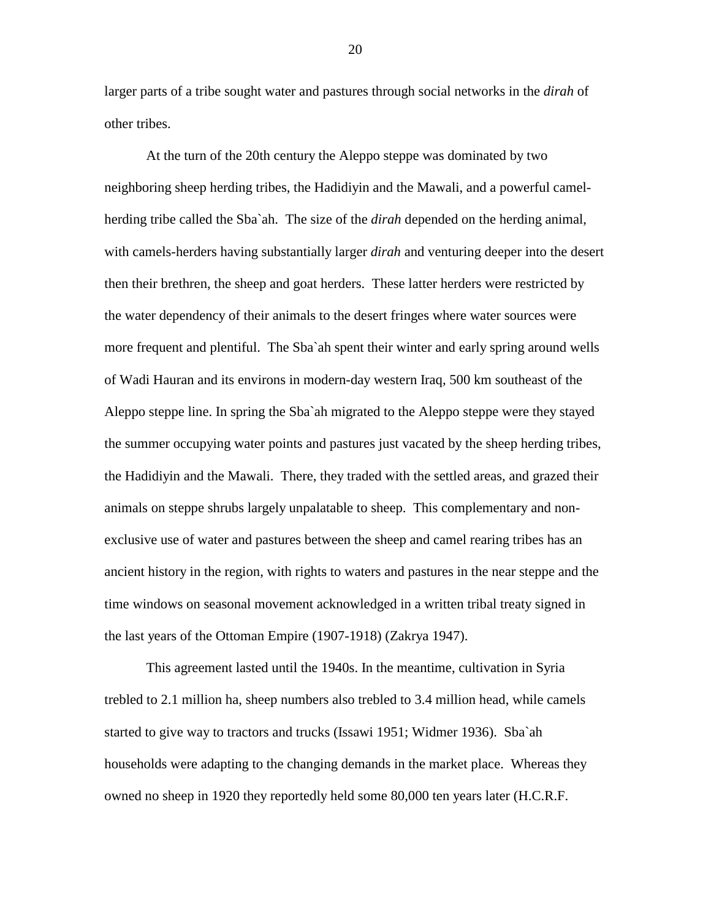larger parts of a tribe sought water and pastures through social networks in the *dirah* of other tribes.

At the turn of the 20th century the Aleppo steppe was dominated by two neighboring sheep herding tribes, the Hadidiyin and the Mawali, and a powerful camelherding tribe called the Sba`ah. The size of the *dirah* depended on the herding animal, with camels-herders having substantially larger *dirah* and venturing deeper into the desert then their brethren, the sheep and goat herders. These latter herders were restricted by the water dependency of their animals to the desert fringes where water sources were more frequent and plentiful. The Sba`ah spent their winter and early spring around wells of Wadi Hauran and its environs in modern-day western Iraq, 500 km southeast of the Aleppo steppe line. In spring the Sba`ah migrated to the Aleppo steppe were they stayed the summer occupying water points and pastures just vacated by the sheep herding tribes, the Hadidiyin and the Mawali. There, they traded with the settled areas, and grazed their animals on steppe shrubs largely unpalatable to sheep. This complementary and nonexclusive use of water and pastures between the sheep and camel rearing tribes has an ancient history in the region, with rights to waters and pastures in the near steppe and the time windows on seasonal movement acknowledged in a written tribal treaty signed in the last years of the Ottoman Empire (1907-1918) (Zakrya 1947).

This agreement lasted until the 1940s. In the meantime, cultivation in Syria trebled to 2.1 million ha, sheep numbers also trebled to 3.4 million head, while camels started to give way to tractors and trucks (Issawi 1951; Widmer 1936). Sba`ah households were adapting to the changing demands in the market place. Whereas they owned no sheep in 1920 they reportedly held some 80,000 ten years later (H.C.R.F.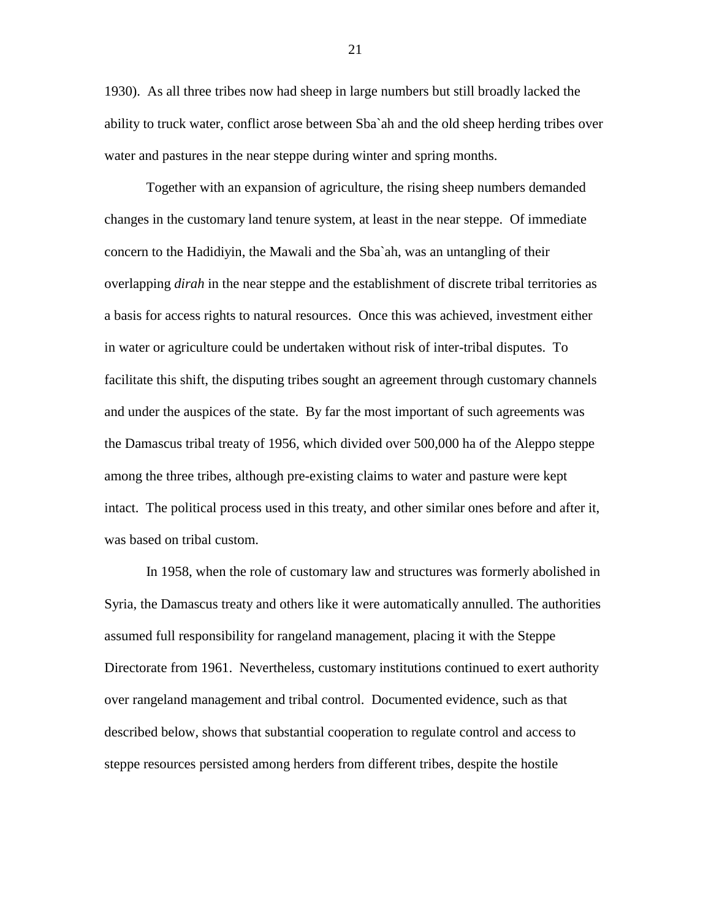1930). As all three tribes now had sheep in large numbers but still broadly lacked the ability to truck water, conflict arose between Sba`ah and the old sheep herding tribes over water and pastures in the near steppe during winter and spring months.

Together with an expansion of agriculture, the rising sheep numbers demanded changes in the customary land tenure system, at least in the near steppe. Of immediate concern to the Hadidiyin, the Mawali and the Sba`ah, was an untangling of their overlapping *dirah* in the near steppe and the establishment of discrete tribal territories as a basis for access rights to natural resources. Once this was achieved, investment either in water or agriculture could be undertaken without risk of inter-tribal disputes. To facilitate this shift, the disputing tribes sought an agreement through customary channels and under the auspices of the state. By far the most important of such agreements was the Damascus tribal treaty of 1956, which divided over 500,000 ha of the Aleppo steppe among the three tribes, although pre-existing claims to water and pasture were kept intact. The political process used in this treaty, and other similar ones before and after it, was based on tribal custom.

In 1958, when the role of customary law and structures was formerly abolished in Syria, the Damascus treaty and others like it were automatically annulled. The authorities assumed full responsibility for rangeland management, placing it with the Steppe Directorate from 1961. Nevertheless, customary institutions continued to exert authority over rangeland management and tribal control. Documented evidence, such as that described below, shows that substantial cooperation to regulate control and access to steppe resources persisted among herders from different tribes, despite the hostile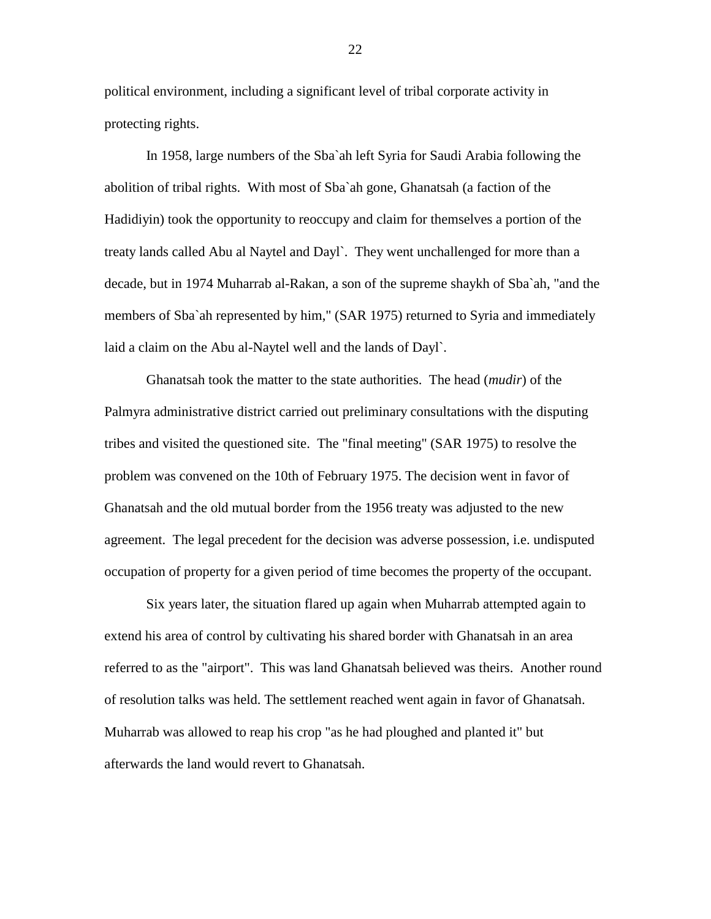political environment, including a significant level of tribal corporate activity in protecting rights.

In 1958, large numbers of the Sba`ah left Syria for Saudi Arabia following the abolition of tribal rights. With most of Sba`ah gone, Ghanatsah (a faction of the Hadidiyin) took the opportunity to reoccupy and claim for themselves a portion of the treaty lands called Abu al Naytel and Dayl`. They went unchallenged for more than a decade, but in 1974 Muharrab al-Rakan, a son of the supreme shaykh of Sba`ah, "and the members of Sba`ah represented by him," (SAR 1975) returned to Syria and immediately laid a claim on the Abu al-Naytel well and the lands of Dayl`.

Ghanatsah took the matter to the state authorities. The head (*mudir*) of the Palmyra administrative district carried out preliminary consultations with the disputing tribes and visited the questioned site. The "final meeting" (SAR 1975) to resolve the problem was convened on the 10th of February 1975. The decision went in favor of Ghanatsah and the old mutual border from the 1956 treaty was adjusted to the new agreement. The legal precedent for the decision was adverse possession, i.e. undisputed occupation of property for a given period of time becomes the property of the occupant.

Six years later, the situation flared up again when Muharrab attempted again to extend his area of control by cultivating his shared border with Ghanatsah in an area referred to as the "airport". This was land Ghanatsah believed was theirs. Another round of resolution talks was held. The settlement reached went again in favor of Ghanatsah. Muharrab was allowed to reap his crop "as he had ploughed and planted it" but afterwards the land would revert to Ghanatsah.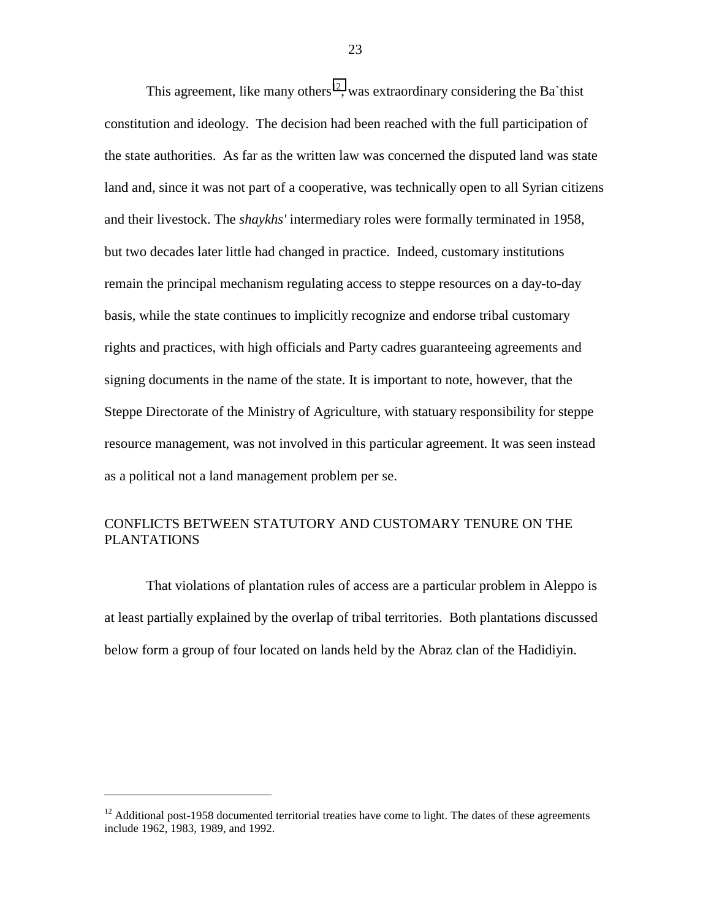This agreement, like many others<sup>12</sup>, was extraordinary considering the Ba`thist constitution and ideology. The decision had been reached with the full participation of the state authorities. As far as the written law was concerned the disputed land was state land and, since it was not part of a cooperative, was technically open to all Syrian citizens and their livestock. The *shaykhs'* intermediary roles were formally terminated in 1958, but two decades later little had changed in practice. Indeed, customary institutions remain the principal mechanism regulating access to steppe resources on a day-to-day basis, while the state continues to implicitly recognize and endorse tribal customary rights and practices, with high officials and Party cadres guaranteeing agreements and signing documents in the name of the state. It is important to note, however, that the Steppe Directorate of the Ministry of Agriculture, with statuary responsibility for steppe resource management, was not involved in this particular agreement. It was seen instead as a political not a land management problem per se.

## CONFLICTS BETWEEN STATUTORY AND CUSTOMARY TENURE ON THE PLANTATIONS

That violations of plantation rules of access are a particular problem in Aleppo is at least partially explained by the overlap of tribal territories. Both plantations discussed below form a group of four located on lands held by the Abraz clan of the Hadidiyin.

 $\overline{a}$ 

 $12$  Additional post-1958 documented territorial treaties have come to light. The dates of these agreements include 1962, 1983, 1989, and 1992.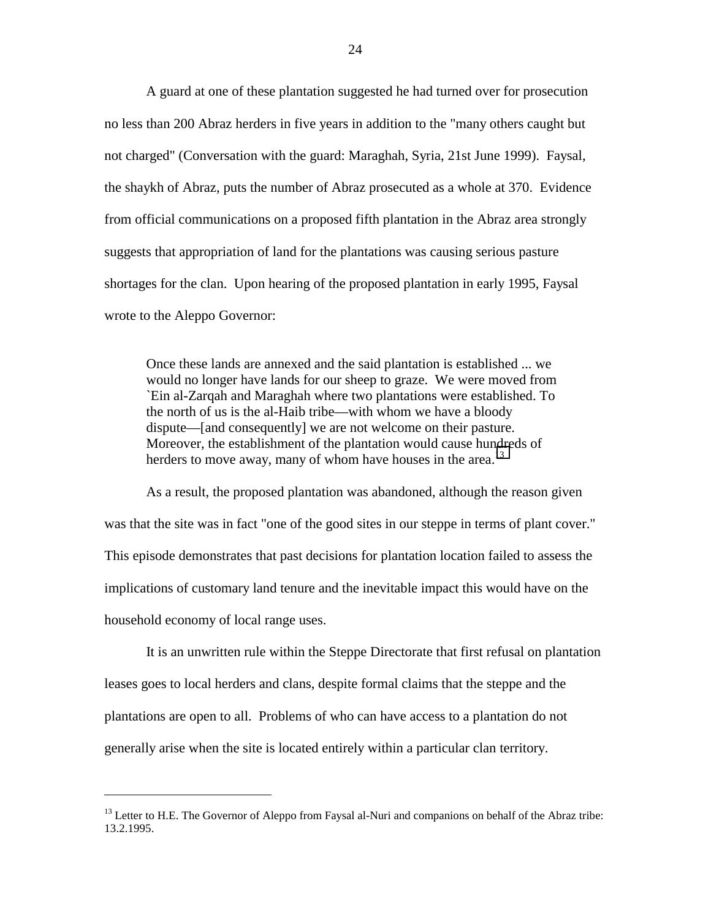A guard at one of these plantation suggested he had turned over for prosecution no less than 200 Abraz herders in five years in addition to the "many others caught but not charged" (Conversation with the guard: Maraghah, Syria, 21st June 1999). Faysal, the shaykh of Abraz, puts the number of Abraz prosecuted as a whole at 370. Evidence from official communications on a proposed fifth plantation in the Abraz area strongly suggests that appropriation of land for the plantations was causing serious pasture shortages for the clan. Upon hearing of the proposed plantation in early 1995, Faysal wrote to the Aleppo Governor:

Once these lands are annexed and the said plantation is established ... we would no longer have lands for our sheep to graze. We were moved from `Ein al-Zarqah and Maraghah where two plantations were established. To the north of us is the al-Haib tribe—with whom we have a bloody dispute—[and consequently] we are not welcome on their pasture. Moreover, the establishment of the plantation would cause hundreds of herders to move away, many of whom have houses in the area.<sup>13</sup>

As a result, the proposed plantation was abandoned, although the reason given was that the site was in fact "one of the good sites in our steppe in terms of plant cover." This episode demonstrates that past decisions for plantation location failed to assess the implications of customary land tenure and the inevitable impact this would have on the household economy of local range uses.

It is an unwritten rule within the Steppe Directorate that first refusal on plantation leases goes to local herders and clans, despite formal claims that the steppe and the plantations are open to all. Problems of who can have access to a plantation do not generally arise when the site is located entirely within a particular clan territory.

 $<sup>13</sup>$  Letter to H.E. The Governor of Aleppo from Faysal al-Nuri and companions on behalf of the Abraz tribe:</sup> 13.2.1995.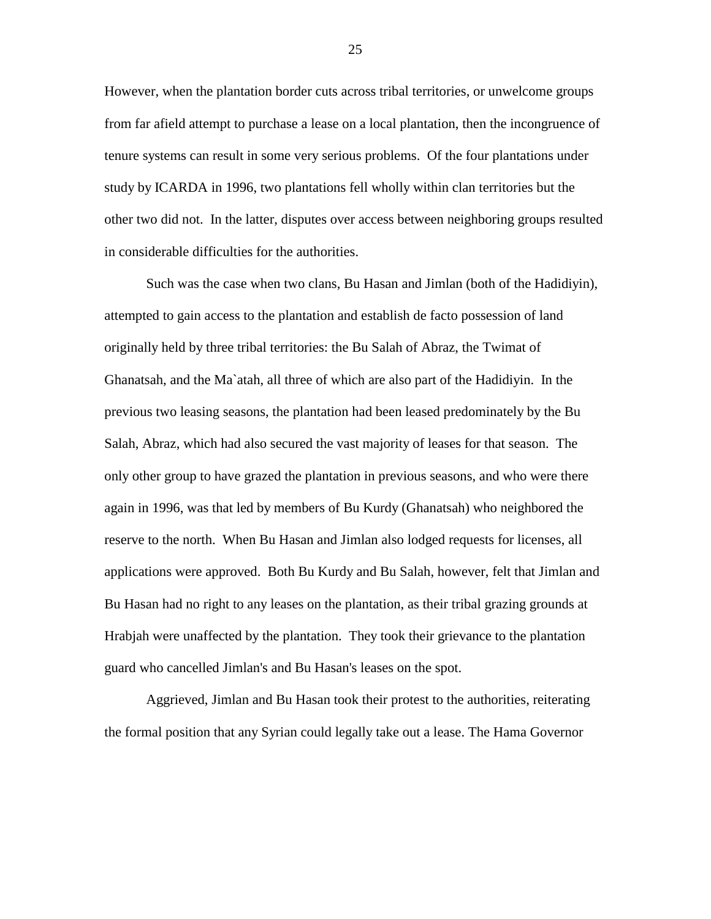However, when the plantation border cuts across tribal territories, or unwelcome groups from far afield attempt to purchase a lease on a local plantation, then the incongruence of tenure systems can result in some very serious problems. Of the four plantations under study by ICARDA in 1996, two plantations fell wholly within clan territories but the other two did not. In the latter, disputes over access between neighboring groups resulted in considerable difficulties for the authorities.

Such was the case when two clans, Bu Hasan and Jimlan (both of the Hadidiyin), attempted to gain access to the plantation and establish de facto possession of land originally held by three tribal territories: the Bu Salah of Abraz, the Twimat of Ghanatsah, and the Ma`atah, all three of which are also part of the Hadidiyin. In the previous two leasing seasons, the plantation had been leased predominately by the Bu Salah, Abraz, which had also secured the vast majority of leases for that season. The only other group to have grazed the plantation in previous seasons, and who were there again in 1996, was that led by members of Bu Kurdy (Ghanatsah) who neighbored the reserve to the north. When Bu Hasan and Jimlan also lodged requests for licenses, all applications were approved. Both Bu Kurdy and Bu Salah, however, felt that Jimlan and Bu Hasan had no right to any leases on the plantation, as their tribal grazing grounds at Hrabjah were unaffected by the plantation. They took their grievance to the plantation guard who cancelled Jimlan's and Bu Hasan's leases on the spot.

Aggrieved, Jimlan and Bu Hasan took their protest to the authorities, reiterating the formal position that any Syrian could legally take out a lease. The Hama Governor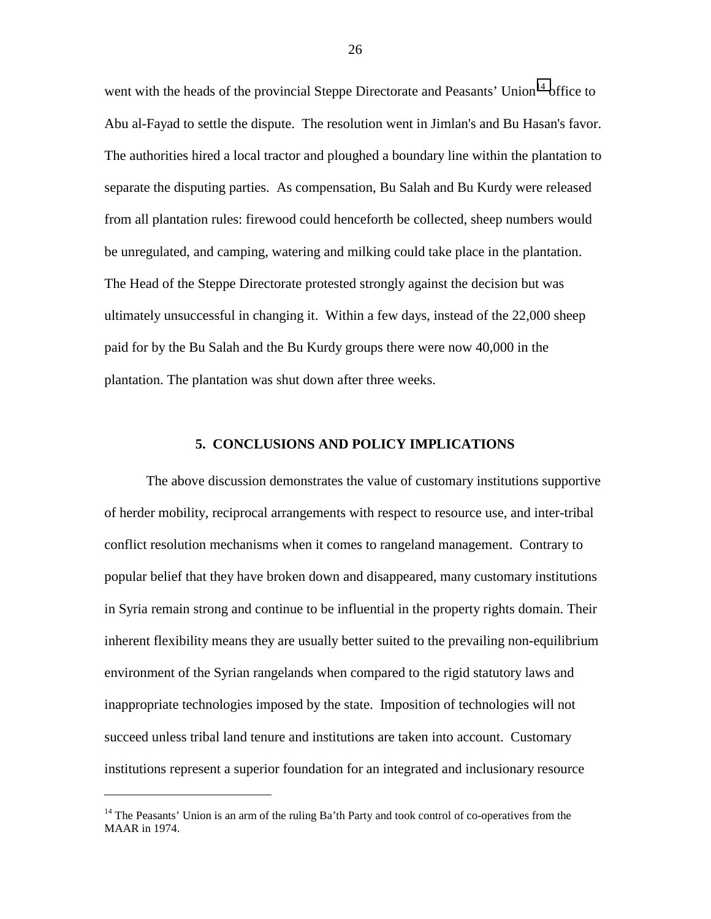<span id="page-31-0"></span>went with the heads of the provincial Steppe Directorate and Peasants' Union<sup>14</sup> office to Abu al-Fayad to settle the dispute. The resolution went in Jimlan's and Bu Hasan's favor. The authorities hired a local tractor and ploughed a boundary line within the plantation to separate the disputing parties. As compensation, Bu Salah and Bu Kurdy were released from all plantation rules: firewood could henceforth be collected, sheep numbers would be unregulated, and camping, watering and milking could take place in the plantation. The Head of the Steppe Directorate protested strongly against the decision but was ultimately unsuccessful in changing it. Within a few days, instead of the 22,000 sheep paid for by the Bu Salah and the Bu Kurdy groups there were now 40,000 in the plantation. The plantation was shut down after three weeks.

#### **5. CONCLUSIONS AND POLICY IMPLICATIONS**

The above discussion demonstrates the value of customary institutions supportive of herder mobility, reciprocal arrangements with respect to resource use, and inter-tribal conflict resolution mechanisms when it comes to rangeland management. Contrary to popular belief that they have broken down and disappeared, many customary institutions in Syria remain strong and continue to be influential in the property rights domain. Their inherent flexibility means they are usually better suited to the prevailing non-equilibrium environment of the Syrian rangelands when compared to the rigid statutory laws and inappropriate technologies imposed by the state. Imposition of technologies will not succeed unless tribal land tenure and institutions are taken into account. Customary institutions represent a superior foundation for an integrated and inclusionary resource

 $\overline{a}$ 

<sup>&</sup>lt;sup>14</sup> The Peasants' Union is an arm of the ruling Ba'th Party and took control of co-operatives from the MAAR in 1974.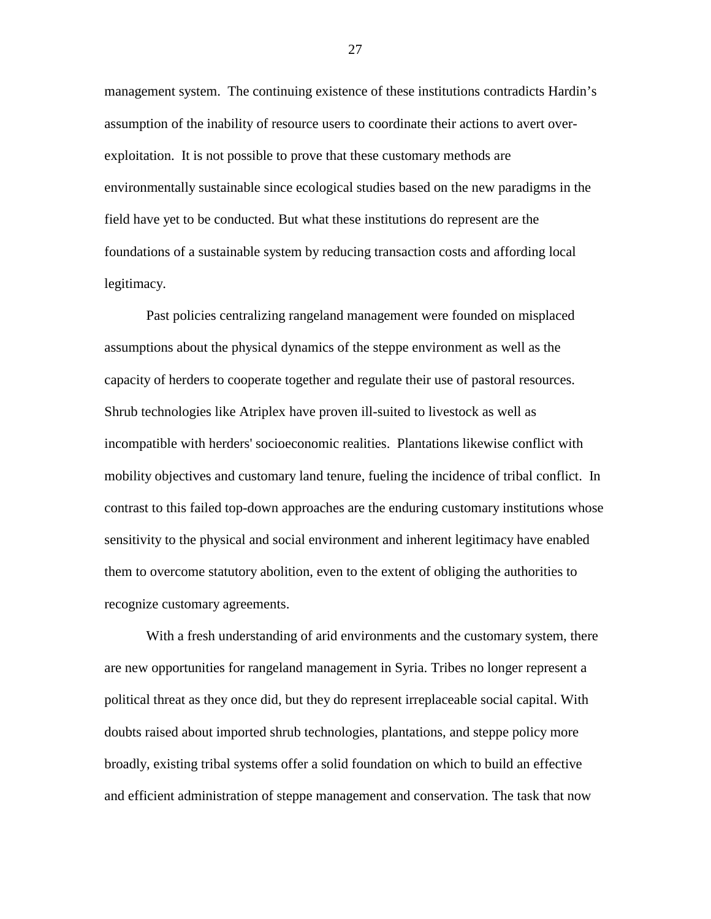management system. The continuing existence of these institutions contradicts Hardin's assumption of the inability of resource users to coordinate their actions to avert overexploitation. It is not possible to prove that these customary methods are environmentally sustainable since ecological studies based on the new paradigms in the field have yet to be conducted. But what these institutions do represent are the foundations of a sustainable system by reducing transaction costs and affording local legitimacy.

Past policies centralizing rangeland management were founded on misplaced assumptions about the physical dynamics of the steppe environment as well as the capacity of herders to cooperate together and regulate their use of pastoral resources. Shrub technologies like Atriplex have proven ill-suited to livestock as well as incompatible with herders' socioeconomic realities. Plantations likewise conflict with mobility objectives and customary land tenure, fueling the incidence of tribal conflict. In contrast to this failed top-down approaches are the enduring customary institutions whose sensitivity to the physical and social environment and inherent legitimacy have enabled them to overcome statutory abolition, even to the extent of obliging the authorities to recognize customary agreements.

With a fresh understanding of arid environments and the customary system, there are new opportunities for rangeland management in Syria. Tribes no longer represent a political threat as they once did, but they do represent irreplaceable social capital. With doubts raised about imported shrub technologies, plantations, and steppe policy more broadly, existing tribal systems offer a solid foundation on which to build an effective and efficient administration of steppe management and conservation. The task that now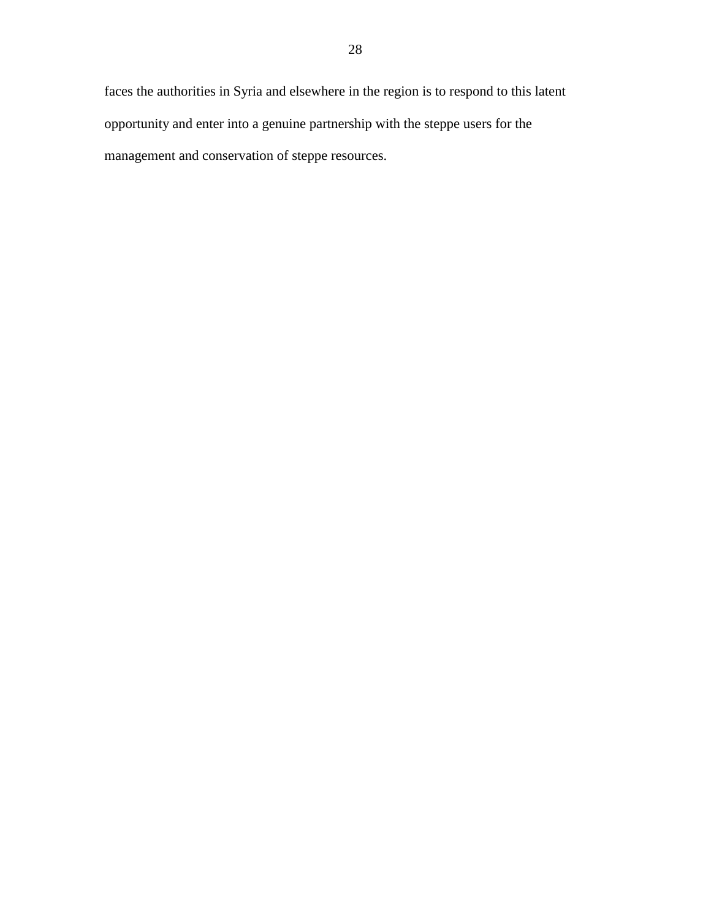faces the authorities in Syria and elsewhere in the region is to respond to this latent opportunity and enter into a genuine partnership with the steppe users for the management and conservation of steppe resources.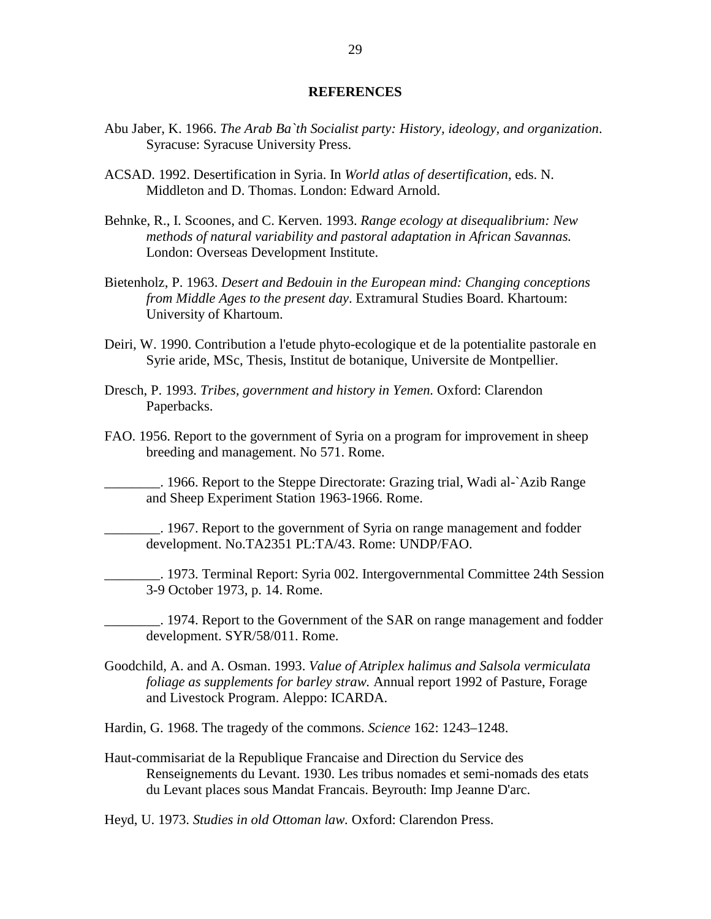#### **REFERENCES**

- <span id="page-34-0"></span>Abu Jaber, K. 1966. *The Arab Ba`th Socialist party: History, ideology, and organization*. Syracuse: Syracuse University Press.
- ACSAD. 1992. Desertification in Syria. In *World atlas of desertification*, eds. N. Middleton and D. Thomas. London: Edward Arnold.
- Behnke, R., I. Scoones, and C. Kerven. 1993. *Range ecology at disequalibrium: New methods of natural variability and pastoral adaptation in African Savannas.* London: Overseas Development Institute.
- Bietenholz, P. 1963. *Desert and Bedouin in the European mind: Changing conceptions from Middle Ages to the present day*. Extramural Studies Board. Khartoum: University of Khartoum.
- Deiri, W. 1990. Contribution a l'etude phyto-ecologique et de la potentialite pastorale en Syrie aride, MSc, Thesis, Institut de botanique, Universite de Montpellier.
- Dresch, P. 1993. *Tribes, government and history in Yemen.* Oxford: Clarendon Paperbacks.
- FAO. 1956. Report to the government of Syria on a program for improvement in sheep breeding and management. No 571. Rome.
	- \_\_\_\_\_\_\_\_. 1966. Report to the Steppe Directorate: Grazing trial, Wadi al-`Azib Range and Sheep Experiment Station 1963-1966. Rome.
	- \_\_\_\_\_\_\_\_. 1967. Report to the government of Syria on range management and fodder development. No.TA2351 PL:TA/43. Rome: UNDP/FAO.
- \_\_\_\_\_\_\_\_. 1973. Terminal Report: Syria 002. Intergovernmental Committee 24th Session 3-9 October 1973, p. 14. Rome.
	- \_\_\_\_\_\_\_\_. 1974. Report to the Government of the SAR on range management and fodder development. SYR/58/011. Rome.
- Goodchild, A. and A. Osman. 1993. *Value of Atriplex halimus and Salsola vermiculata foliage as supplements for barley straw.* Annual report 1992 of Pasture, Forage and Livestock Program. Aleppo: ICARDA.
- Hardin, G. 1968. The tragedy of the commons. *Science* 162: 1243–1248.
- Haut-commisariat de la Republique Francaise and Direction du Service des Renseignements du Levant. 1930. Les tribus nomades et semi-nomads des etats du Levant places sous Mandat Francais. Beyrouth: Imp Jeanne D'arc.

Heyd, U. 1973. *Studies in old Ottoman law.* Oxford: Clarendon Press.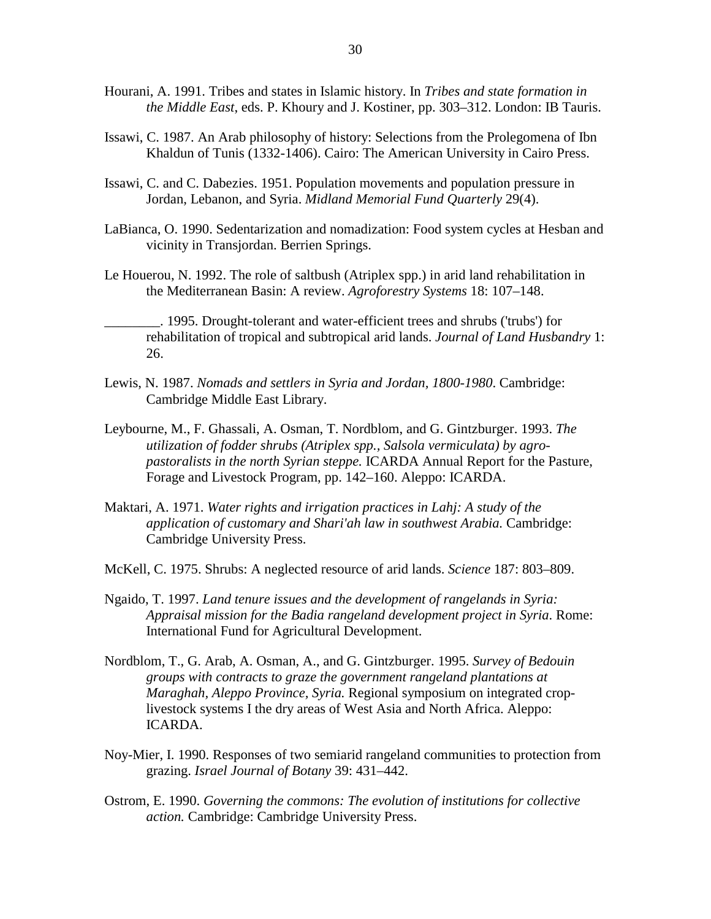- Hourani, A. 1991. Tribes and states in Islamic history. In *Tribes and state formation in the Middle East*, eds. P. Khoury and J. Kostiner, pp. 303–312. London: IB Tauris.
- Issawi, C. 1987. An Arab philosophy of history: Selections from the Prolegomena of Ibn Khaldun of Tunis (1332-1406). Cairo: The American University in Cairo Press.
- Issawi, C. and C. Dabezies. 1951. Population movements and population pressure in Jordan, Lebanon, and Syria. *Midland Memorial Fund Quarterly* 29(4).
- LaBianca, O. 1990. Sedentarization and nomadization: Food system cycles at Hesban and vicinity in Transjordan. Berrien Springs.
- Le Houerou, N. 1992. The role of saltbush (Atriplex spp.) in arid land rehabilitation in the Mediterranean Basin: A review. *Agroforestry Systems* 18: 107–148.

\_\_\_\_\_\_\_\_. 1995. Drought-tolerant and water-efficient trees and shrubs ('trubs') for rehabilitation of tropical and subtropical arid lands. *Journal of Land Husbandry* 1: 26.

- Lewis, N. 1987. *Nomads and settlers in Syria and Jordan, 1800-1980*. Cambridge: Cambridge Middle East Library.
- Leybourne, M., F. Ghassali, A. Osman, T. Nordblom, and G. Gintzburger. 1993. *The utilization of fodder shrubs (Atriplex spp., Salsola vermiculata) by agropastoralists in the north Syrian steppe.* ICARDA Annual Report for the Pasture, Forage and Livestock Program, pp. 142–160. Aleppo: ICARDA.
- Maktari, A. 1971. *Water rights and irrigation practices in Lahj: A study of the application of customary and Shari'ah law in southwest Arabia.* Cambridge: Cambridge University Press.
- McKell, C. 1975. Shrubs: A neglected resource of arid lands. *Science* 187: 803–809.
- Ngaido, T. 1997. *Land tenure issues and the development of rangelands in Syria: Appraisal mission for the Badia rangeland development project in Syria*. Rome: International Fund for Agricultural Development.
- Nordblom, T., G. Arab, A. Osman, A., and G. Gintzburger. 1995. *Survey of Bedouin groups with contracts to graze the government rangeland plantations at Maraghah, Aleppo Province, Syria.* Regional symposium on integrated croplivestock systems I the dry areas of West Asia and North Africa. Aleppo: ICARDA.
- Noy-Mier, I. 1990. Responses of two semiarid rangeland communities to protection from grazing. *Israel Journal of Botany* 39: 431–442.
- Ostrom, E. 1990. *Governing the commons: The evolution of institutions for collective action.* Cambridge: Cambridge University Press.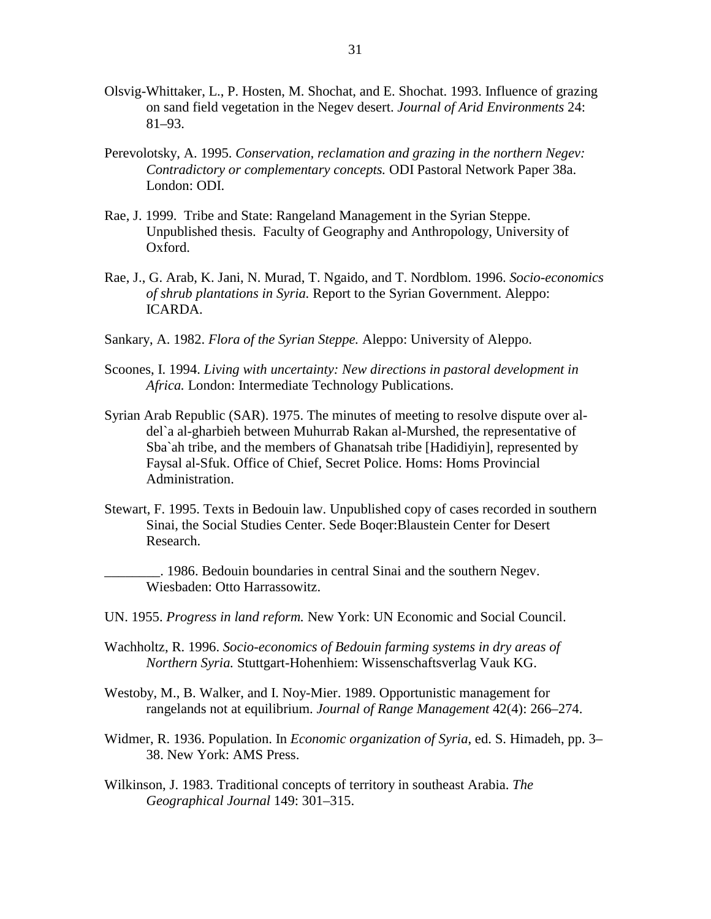- Olsvig-Whittaker, L., P. Hosten, M. Shochat, and E. Shochat. 1993. Influence of grazing on sand field vegetation in the Negev desert. *Journal of Arid Environments* 24: 81–93.
- Perevolotsky, A. 1995. *Conservation, reclamation and grazing in the northern Negev: Contradictory or complementary concepts.* ODI Pastoral Network Paper 38a. London: ODI.
- Rae, J. 1999. Tribe and State: Rangeland Management in the Syrian Steppe. Unpublished thesis. Faculty of Geography and Anthropology, University of Oxford.
- Rae, J., G. Arab, K. Jani, N. Murad, T. Ngaido, and T. Nordblom. 1996. *Socio-economics of shrub plantations in Syria.* Report to the Syrian Government. Aleppo: ICARDA.
- Sankary, A. 1982. *Flora of the Syrian Steppe.* Aleppo: University of Aleppo.
- Scoones, I. 1994. *Living with uncertainty: New directions in pastoral development in Africa.* London: Intermediate Technology Publications.
- Syrian Arab Republic (SAR). 1975. The minutes of meeting to resolve dispute over aldel`a al-gharbieh between Muhurrab Rakan al-Murshed, the representative of Sba`ah tribe, and the members of Ghanatsah tribe [Hadidiyin], represented by Faysal al-Sfuk. Office of Chief, Secret Police. Homs: Homs Provincial Administration.
- Stewart, F. 1995. Texts in Bedouin law. Unpublished copy of cases recorded in southern Sinai, the Social Studies Center. Sede Boqer:Blaustein Center for Desert Research.

\_\_\_\_\_\_\_\_. 1986. Bedouin boundaries in central Sinai and the southern Negev. Wiesbaden: Otto Harrassowitz.

- UN. 1955. *Progress in land reform.* New York: UN Economic and Social Council.
- Wachholtz, R. 1996. *Socio-economics of Bedouin farming systems in dry areas of Northern Syria.* Stuttgart-Hohenhiem: Wissenschaftsverlag Vauk KG.
- Westoby, M., B. Walker, and I. Noy-Mier. 1989. Opportunistic management for rangelands not at equilibrium. *Journal of Range Management* 42(4): 266–274.
- Widmer, R. 1936. Population. In *Economic organization of Syria*, ed. S. Himadeh, pp. 3– 38. New York: AMS Press.
- Wilkinson, J. 1983. Traditional concepts of territory in southeast Arabia. *The Geographical Journal* 149: 301–315.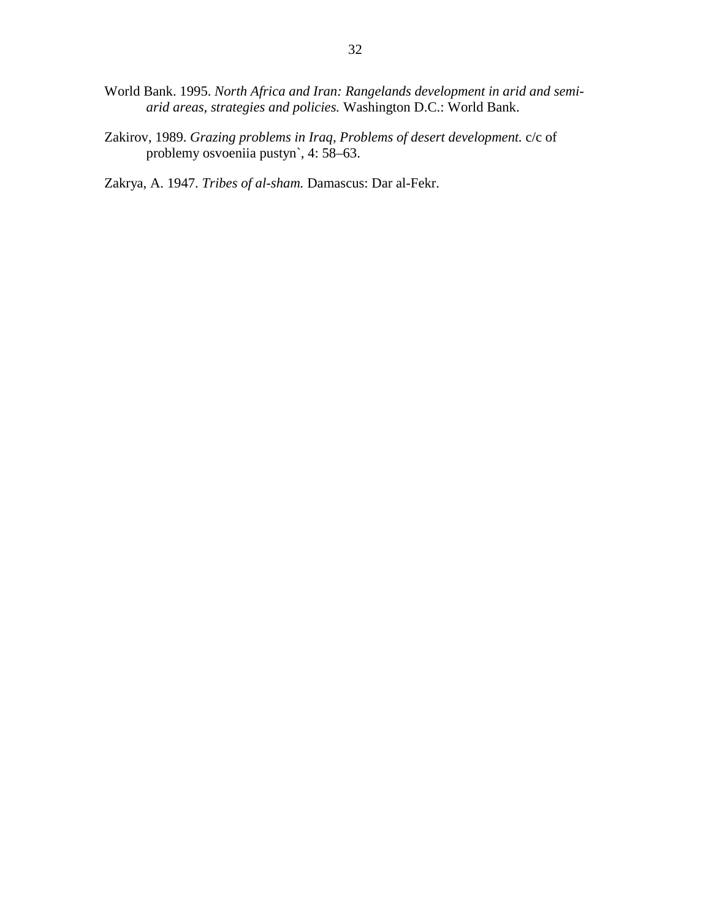- World Bank. 1995. *North Africa and Iran: Rangelands development in arid and semiarid areas, strategies and policies.* Washington D.C.: World Bank.
- Zakirov, 1989. *Grazing problems in Iraq, Problems of desert development.* c/c of problemy osvoeniia pustyn`, 4: 58–63.

Zakrya, A. 1947. *Tribes of al-sham.* Damascus: Dar al-Fekr.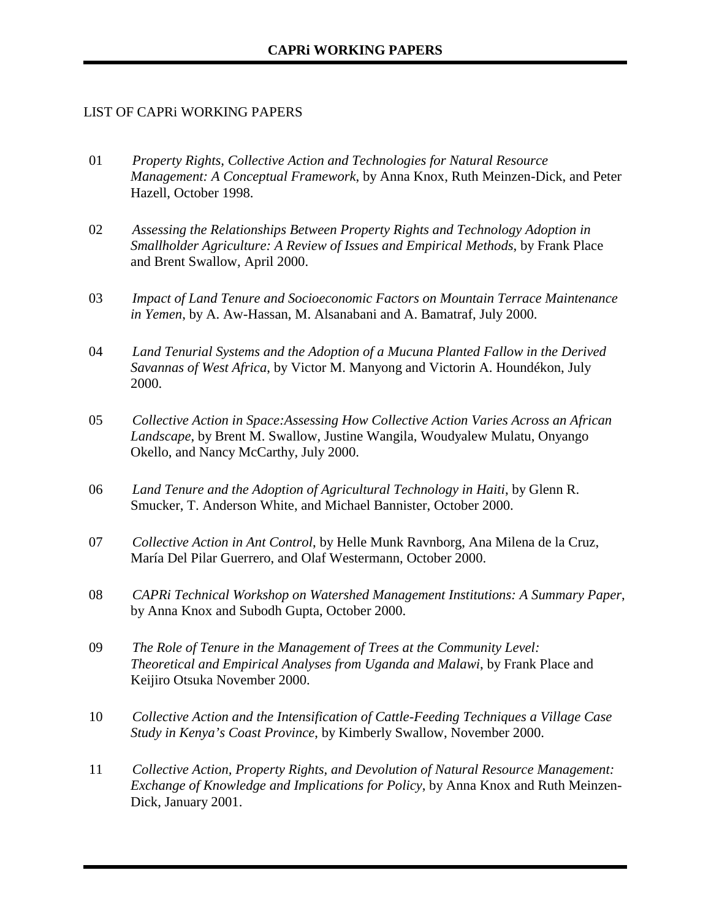### LIST OF CAPRi WORKING PAPERS

- 01 *Property Rights, Collective Action and Technologies for Natural Resource Management: A Conceptual Framework*, by Anna Knox, Ruth Meinzen-Dick, and Peter Hazell, October 1998.
- 02 *Assessing the Relationships Between Property Rights and Technology Adoption in Smallholder Agriculture: A Review of Issues and Empirical Methods*, by Frank Place and Brent Swallow, April 2000.
- 03 *Impact of Land Tenure and Socioeconomic Factors on Mountain Terrace Maintenance in Yemen*, by A. Aw-Hassan, M. Alsanabani and A. Bamatraf, July 2000.
- 04 *Land Tenurial Systems and the Adoption of a Mucuna Planted Fallow in the Derived Savannas of West Africa*, by Victor M. Manyong and Victorin A. Houndékon, July 2000.
- 05 *Collective Action in Space:Assessing How Collective Action Varies Across an African Landscape*, by Brent M. Swallow, Justine Wangila, Woudyalew Mulatu, Onyango Okello, and Nancy McCarthy, July 2000.
- 06 *Land Tenure and the Adoption of Agricultural Technology in Haiti*, by Glenn R. Smucker, T. Anderson White, and Michael Bannister, October 2000.
- 07 *Collective Action in Ant Control*, by Helle Munk Ravnborg, Ana Milena de la Cruz, María Del Pilar Guerrero, and Olaf Westermann, October 2000.
- 08 *CAPRi Technical Workshop on Watershed Management Institutions: A Summary Paper*, by Anna Knox and Subodh Gupta, October 2000.
- 09 *The Role of Tenure in the Management of Trees at the Community Level: Theoretical and Empirical Analyses from Uganda and Malawi*, by Frank Place and Keijiro Otsuka November 2000.
- 10 *Collective Action and the Intensification of Cattle-Feeding Techniques a Village Case Study in Kenya's Coast Province*, by Kimberly Swallow, November 2000.
- 11 *Collective Action, Property Rights, and Devolution of Natural Resource Management: Exchange of Knowledge and Implications for Policy*, by Anna Knox and Ruth Meinzen-Dick, January 2001.